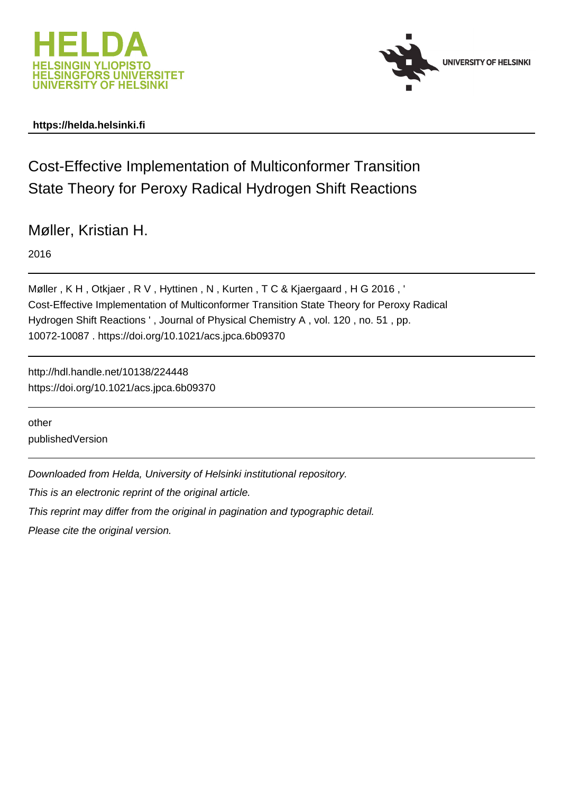



### **https://helda.helsinki.fi**

Cost-Effective Implementation of Multiconformer Transition State Theory for Peroxy Radical Hydrogen Shift Reactions

Møller, Kristian H.

2016

Møller, K H, Otkjaer, R V, Hyttinen, N, Kurten, T C & Kjaergaard, H G 2016, ' Cost-Effective Implementation of Multiconformer Transition State Theory for Peroxy Radical Hydrogen Shift Reactions ' , Journal of Physical Chemistry A , vol. 120 , no. 51 , pp. 10072-10087 . https://doi.org/10.1021/acs.jpca.6b09370

http://hdl.handle.net/10138/224448 https://doi.org/10.1021/acs.jpca.6b09370

other publishedVersion

Downloaded from Helda, University of Helsinki institutional repository.

This is an electronic reprint of the original article.

This reprint may differ from the original in pagination and typographic detail.

Please cite the original version.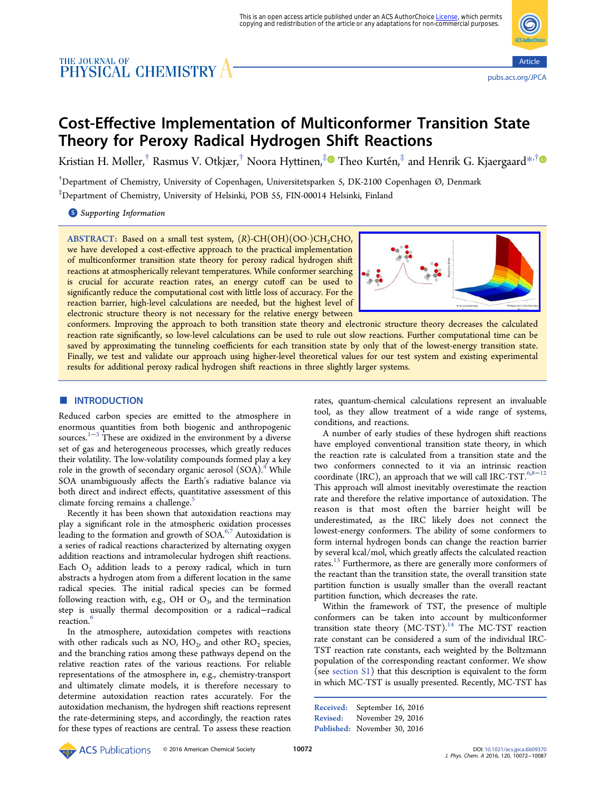# THE JOURNAL OF **CHEMISTRY**



## Cost-Effective Implementation of Multiconformer Transition State Theory for Peroxy Radical Hydrogen Shift Reactions

Kristian H. Møller,<sup>†</sup> Rasmus V. Otkjær,<sup>†</sup> Noora Hyttinen,<sup>‡</sup> Theo Kurtén,<sup>‡</sup> and Henrik G. Kjaergaard<sup>\*,†</sup>

† Department of Chemistry, University of Copenhagen, Universitetsparken 5, DK-2100 Copenhagen Ø, Denmark ‡ Department of Chemistry, University of Helsinki, POB 55, FIN-00014 Helsinki, Finland

**S** Supporting Information

ABSTRACT: Based on a small test system,  $(R)$ -CH $(OH)$  $(OO·)CH<sub>2</sub>CHO$ , we have developed a cost-effective approach to the practical implementation of multiconformer transition state theory for peroxy radical hydrogen shift reactions at atmospherically relevant temperatures. While conformer searching is crucial for accurate reaction rates, an energy cutoff can be used to significantly reduce the computational cost with little loss of accuracy. For the reaction barrier, high-level calculations are needed, but the highest level of electronic structure theory is not necessary for the relative energy between



conformers. Improving the approach to both transition state theory and electronic structure theory decreases the calculated reaction rate significantly, so low-level calculations can be used to rule out slow reactions. Further computational time can be saved by approximating the tunneling coefficients for each transition state by only that of the lowest-energy transition state. Finally, we test and validate our approach using higher-level theoretical values for our test system and existing experimental results for additional peroxy radical hydrogen shift reactions in three slightly larger systems.

#### **ENTRODUCTION**

Reduced carbon species are emitted to the atmosphere in enormous quantities from both biogenic and anthropogenic sources.<sup>1−3</sup> These are oxidized in the environment by a diverse set of gas and heterogeneous processes, which greatly reduces their volatility. The low-volatility compounds formed play a key role in the growth of secondary organic aerosol  $(SOA)^4$ . While SOA unambiguously affects the Earth's radiative balance via both direct and indirect effects, quantitative assessment of this climate forcing remains a challenge.<sup>5</sup>

Recently it has been shown that autoxidation reactions may play a significant role in the atmospheric oxidation processes leading to the formation and growth of  $SOA<sup>6,7</sup>$  Autoxidation is a series of radical reactions characterized by alternating oxygen addition reactions and intramolecular hydrogen shift reactions. Each  $O_2$  addition leads to a peroxy radical, which in turn abstracts a hydrogen atom from a different location in the same radical species. The initial radical species can be formed following reaction with, e.g., OH or  $O<sub>3</sub>$ , and the termination step is usually thermal decomposition or a radical−radical reaction.<sup>6</sup>

In the atmosphere, autoxidation competes with reactions with other radicals such as NO,  $HO<sub>2</sub>$ , and other RO<sub>2</sub> species, and the branching ratios among these pathways depend on the relative reaction rates of the various reactions. For reliable representations of the atmosphere in, e.g., chemistry-transport and ultimately climate models, it is therefore necessary to determine autoxidation reaction rates accurately. For the autoxidation mechanism, the hydrogen shift reactions represent the rate-determining steps, and accordingly, the reaction rates for these types of reactions are central. To assess these reaction rates, quantum-chemical calculations represent an invaluable tool, as they allow treatment of a wide range of systems, conditions, and reactions.

A number of early studies of these hydrogen shift reactions have employed conventional transition state theory, in which the reaction rate is calculated from a transition state and the two conformers connected to it via an intrinsic reaction coordinate (IRC), an approach that we will call IRC-TST. $6,8-12$ This approach will almost inevitably overestimate the reaction rate and therefore the relative importance of autoxidation. The reason is that most often the barrier height will be underestimated, as the IRC likely does not connect the lowest-energy conformers. The ability of some conformers to form internal hydrogen bonds can change the reaction barrier by several kcal/mol, which greatly affects the calculated reaction rates.<sup>13</sup> Furthermore, as there are generally more conformers of the reactant than the transition state, the overall transition state partition function is usually smaller than the overall reactant partition function, which decreases the rate.

Within the framework of TST, the presence of multiple conformers can be taken into account by multiconformer transition state theory  $(MC-TST).$ <sup>14</sup> The MC-TST reaction rate constant can be considered a sum of the individual IRC-TST reaction rate constants, each weighted by the Boltzmann population of the corresponding reactant conformer. We show (see [section S1\)](http://pubs.acs.org/doi/suppl/10.1021/acs.jpca.6b09370/suppl_file/jp6b09370_si_001.pdf) that this description is equivalent to the form in which MC-TST is usually presented. Recently, MC-TST has

Received: September 16, 2016 Revised: November 29, 2016 Published: November 30, 2016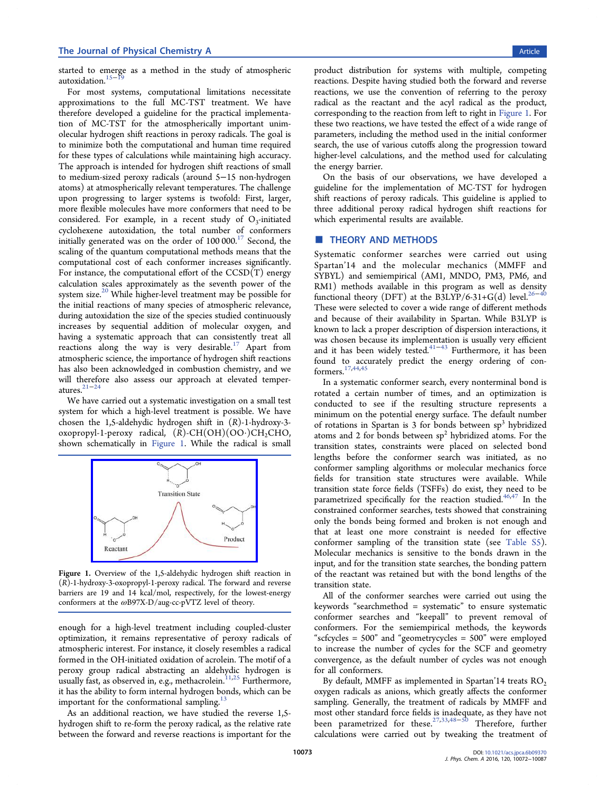started to emerge as a method in the study of atmospheric autoxidation.<sup>15−</sup>

For most systems, computational limitations necessitate approximations to the full MC-TST treatment. We have therefore developed a guideline for the practical implementation of MC-TST for the atmospherically important unimolecular hydrogen shift reactions in peroxy radicals. The goal is to minimize both the computational and human time required for these types of calculations while maintaining high accuracy. The approach is intended for hydrogen shift reactions of small to medium-sized peroxy radicals (around 5−15 non-hydrogen atoms) at atmospherically relevant temperatures. The challenge upon progressing to larger systems is twofold: First, larger, more flexible molecules have more conformers that need to be considered. For example, in a recent study of  $O_3$ -initiated cyclohexene autoxidation, the total number of conformers initially generated was on the order of  $100 000$ .<sup>17</sup> Second, the scaling of the quantum computational methods means that the computational cost of each conformer increases significantly. For instance, the computational effort of the CCSD(T) energy calculation scales approximately as the seventh power of the system size.<sup>20</sup> While higher-level treatment may be possible for the initial reactions of many species of atmospheric relevance, during autoxidation the size of the species studied continuously increases by sequential addition of molecular oxygen, and having a systematic approach that can consistently treat all reactions along the way is very desirable.<sup>17</sup> Apart from atmospheric science, the importance of hydrogen shift reactions has also been acknowledged in combustion chemistry, and we will therefore also assess our approach at elevated temperatures.21−<sup>24</sup>

We have carried out a systematic investigation on a small test system for which a high-level treatment is possible. We have chosen the 1,5-aldehydic hydrogen shift in (R)-1-hydroxy-3 oxopropyl-1-peroxy radical,  $(R)$ -CH(OH)(OO·)CH<sub>2</sub>CHO, shown schematically in Figure 1. While the radical is small



Figure 1. Overview of the 1,5-aldehydic hydrogen shift reaction in (R)-1-hydroxy-3-oxopropyl-1-peroxy radical. The forward and reverse barriers are 19 and 14 kcal/mol, respectively, for the lowest-energy conformers at the ωB97X-D/aug-cc-pVTZ level of theory.

enough for a high-level treatment including coupled-cluster optimization, it remains representative of peroxy radicals of atmospheric interest. For instance, it closely resembles a radical formed in the OH-initiated oxidation of acrolein. The motif of a peroxy group radical abstracting an aldehydic hydrogen is usually fast, as observed in, e.g., methacrolein.<sup>11,25</sup> Furthermore, it has the ability to form internal hydrogen bonds, which can be important for the conformational sampling. $13$ 

As an additional reaction, we have studied the reverse 1,5 hydrogen shift to re-form the peroxy radical, as the relative rate between the forward and reverse reactions is important for the product distribution for systems with multiple, competing reactions. Despite having studied both the forward and reverse reactions, we use the convention of referring to the peroxy radical as the reactant and the acyl radical as the product, corresponding to the reaction from left to right in Figure 1. For these two reactions, we have tested the effect of a wide range of parameters, including the method used in the initial conformer search, the use of various cutoffs along the progression toward higher-level calculations, and the method used for calculating the energy barrier.

On the basis of our observations, we have developed a guideline for the implementation of MC-TST for hydrogen shift reactions of peroxy radicals. This guideline is applied to three additional peroxy radical hydrogen shift reactions for which experimental results are available.

#### **THEORY AND METHODS**

Systematic conformer searches were carried out using Spartan'14 and the molecular mechanics (MMFF and SYBYL) and semiempirical (AM1, MNDO, PM3, PM6, and RM1) methods available in this program as well as density functional theory (DFT) at the B3LYP/6-31+G(d) level.<sup>26</sup> These were selected to cover a wide range of different methods and because of their availability in Spartan. While B3LYP is known to lack a proper description of dispersion interactions, it was chosen because its implementation is usually very efficient and it has been widely tested.<sup>41-43</sup> Furthermore, it has been found to accurately predict the energy ordering of conformers.17,44,45

In a systematic conformer search, every nonterminal bond is rotated a certain number of times, and an optimization is conducted to see if the resulting structure represents a minimum on the potential energy surface. The default number of rotations in Spartan is  $3$  for bonds between  $sp<sup>3</sup>$  hybridized atoms and 2 for bonds between  $sp<sup>2</sup>$  hybridized atoms. For the transition states, constraints were placed on selected bond lengths before the conformer search was initiated, as no conformer sampling algorithms or molecular mechanics force fields for transition state structures were available. While transition state force fields (TSFFs) do exist, they need to be parametrized specifically for the reaction studied.<sup>46,47</sup> In the constrained conformer searches, tests showed that constraining only the bonds being formed and broken is not enough and that at least one more constraint is needed for effective conformer sampling of the transition state (see [Table S5\)](http://pubs.acs.org/doi/suppl/10.1021/acs.jpca.6b09370/suppl_file/jp6b09370_si_001.pdf). Molecular mechanics is sensitive to the bonds drawn in the input, and for the transition state searches, the bonding pattern of the reactant was retained but with the bond lengths of the transition state.

All of the conformer searches were carried out using the keywords "searchmethod = systematic" to ensure systematic conformer searches and "keepall" to prevent removal of conformers. For the semiempirical methods, the keywords "scfcycles = 500" and "geometrycycles = 500" were employed to increase the number of cycles for the SCF and geometry convergence, as the default number of cycles was not enough for all conformers.

By default, MMFF as implemented in Spartan'14 treats  $RO<sub>2</sub>$ oxygen radicals as anions, which greatly affects the conformer sampling. Generally, the treatment of radicals by MMFF and most other standard force fields is inadequate, as they have not been parametrized for these.27,33,48−<sup>50</sup> Therefore, further calculations were carried out by tweaking the treatment of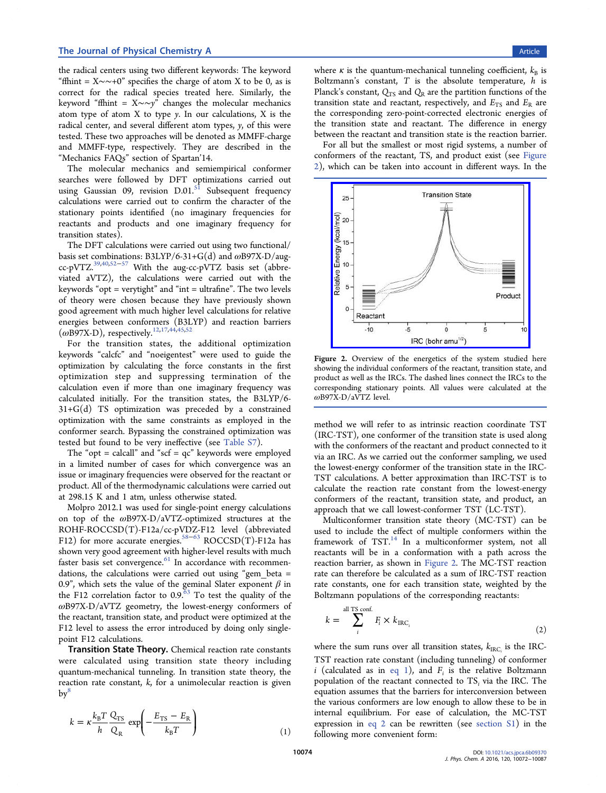the radical centers using two different keywords: The keyword "ffhint =  $X \sim 0$ " specifies the charge of atom X to be 0, as is correct for the radical species treated here. Similarly, the keyword "ffhint = X∼∼y" changes the molecular mechanics atom type of atom  $X$  to type  $y$ . In our calculations,  $X$  is the radical center, and several different atom types, y, of this were tested. These two approaches will be denoted as MMFF-charge and MMFF-type, respectively. They are described in the "Mechanics FAQs" section of Spartan'14.

The molecular mechanics and semiempirical conformer searches were followed by DFT optimizations carried out using Gaussian 09, revision  $D.01$ .<sup>51</sup> Subsequent frequency calculations were carried out to confirm the character of the stationary points identified (no imaginary frequencies for reactants and products and one imaginary frequency for transition states).

The DFT calculations were carried out using two functional/ basis set combinations:  $B3LYP/6-31+G(d)$  and  $\omega B97X-D/aug$ cc-pVTZ.39,40,52−<sup>57</sup> With the aug-cc-pVTZ basis set (abbreviated aVTZ), the calculations were carried out with the keywords "opt = verytight" and "int = ultrafine". The two levels of theory were chosen because they have previously shown good agreement with much higher level calculations for relative energies between conformers (B3LYP) and reaction barriers  $(\omega$ B97X-D), respectively.<sup>12,17,44,45,52</sup>

For the transition states, the additional optimization keywords "calcfc" and "noeigentest" were used to guide the optimization by calculating the force constants in the first optimization step and suppressing termination of the calculation even if more than one imaginary frequency was calculated initially. For the transition states, the B3LYP/6- 31+G(d) TS optimization was preceded by a constrained optimization with the same constraints as employed in the conformer search. Bypassing the constrained optimization was tested but found to be very ineffective (see [Table S7](http://pubs.acs.org/doi/suppl/10.1021/acs.jpca.6b09370/suppl_file/jp6b09370_si_001.pdf)).

The "opt = calcall" and " $scf = qc$ " keywords were employed in a limited number of cases for which convergence was an issue or imaginary frequencies were observed for the reactant or product. All of the thermodynamic calculations were carried out at 298.15 K and 1 atm, unless otherwise stated.

Molpro 2012.1 was used for single-point energy calculations on top of the ωB97X-D/aVTZ-optimized structures at the ROHF-ROCCSD(T)-F12a/cc-pVDZ-F12 level (abbreviated F12) for more accurate energies.<sup>58-63</sup> ROCCSD(T)-F12a has shown very good agreement with higher-level results with much faster basis set convergence.<sup>61</sup> In accordance with recommendations, the calculations were carried out using "gem\_beta = 0.9", which sets the value of the geminal Slater exponent  $\beta$  in the F12 correlation factor to  $0.9$ .<sup> $63$ </sup> To test the quality of the ωB97X-D/aVTZ geometry, the lowest-energy conformers of the reactant, transition state, and product were optimized at the F12 level to assess the error introduced by doing only singlepoint F12 calculations.

Transition State Theory. Chemical reaction rate constants were calculated using transition state theory including quantum-mechanical tunneling. In transition state theory, the reaction rate constant,  $k$ , for a unimolecular reaction is given  $\mathbf{b} \mathbf{v}^8$ 

$$
k = \kappa \frac{k_{\rm B} T}{h} \frac{Q_{\rm TS}}{Q_{\rm R}} \exp\left(-\frac{E_{\rm TS} - E_{\rm R}}{k_{\rm B} T}\right) \tag{1}
$$

where  $\kappa$  is the quantum-mechanical tunneling coefficient,  $k_B$  is Boltzmann's constant,  $T$  is the absolute temperature,  $h$  is Planck's constant,  $Q_{TS}$  and  $Q_R$  are the partition functions of the transition state and reactant, respectively, and  $E_{TS}$  and  $E_R$  are the corresponding zero-point-corrected electronic energies of the transition state and reactant. The difference in energy between the reactant and transition state is the reaction barrier.

For all but the smallest or most rigid systems, a number of conformers of the reactant, TS, and product exist (see Figure 2), which can be taken into account in different ways. In the



Figure 2. Overview of the energetics of the system studied here showing the individual conformers of the reactant, transition state, and product as well as the IRCs. The dashed lines connect the IRCs to the corresponding stationary points. All values were calculated at the ωB97X-D/aVTZ level.

method we will refer to as intrinsic reaction coordinate TST (IRC-TST), one conformer of the transition state is used along with the conformers of the reactant and product connected to it via an IRC. As we carried out the conformer sampling, we used the lowest-energy conformer of the transition state in the IRC-TST calculations. A better approximation than IRC-TST is to calculate the reaction rate constant from the lowest-energy conformers of the reactant, transition state, and product, an approach that we call lowest-conformer TST (LC-TST).

Multiconformer transition state theory (MC-TST) can be used to include the effect of multiple conformers within the framework of TST.<sup>14</sup> In a multiconformer system, not all reactants will be in a conformation with a path across the reaction barrier, as shown in Figure 2. The MC-TST reaction rate can therefore be calculated as a sum of IRC-TST reaction rate constants, one for each transition state, weighted by the Boltzmann populations of the corresponding reactants:

$$
k = \sum_{i}^{\text{all TS conf.}} F_i \times k_{\text{IRC}_i}
$$
 (2)

where the sum runs over all transition states,  $k_{\text{IRC}_i}$  is the IRC-TST reaction rate constant (including tunneling) of conformer *i* (calculated as in eq 1), and  $F_i$  is the relative Boltzmann population of the reactant connected to  $TS_i$  via the IRC. The equation assumes that the barriers for interconversion between the various conformers are low enough to allow these to be in internal equilibrium. For ease of calculation, the MC-TST expression in eq 2 can be rewritten (see [section S1](http://pubs.acs.org/doi/suppl/10.1021/acs.jpca.6b09370/suppl_file/jp6b09370_si_001.pdf)) in the following more convenient form: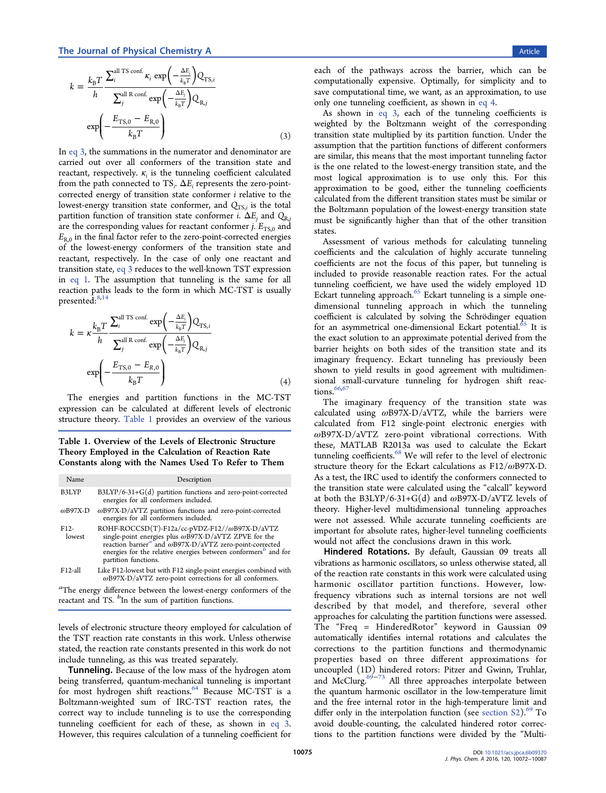$$
k = \frac{k_{\rm B}T}{h} \frac{\sum_{i}^{\rm all TS~conf.} \kappa_{i} \exp\left(-\frac{\Delta E_{i}}{k_{\rm B}T}\right) Q_{\rm TS, i}}{\sum_{j}^{\rm all R~conf.} \exp\left(-\frac{\Delta E_{j}}{k_{\rm B}T}\right) Q_{\rm R, j}}
$$

$$
\exp\left(-\frac{E_{\rm TS, 0} - E_{\rm R, 0}}{k_{\rm B}T}\right) \tag{3}
$$

In eq 3, the summations in the numerator and denominator are carried out over all conformers of the transition state and reactant, respectively.  $\kappa_i$  is the tunneling coefficient calculated from the path connected to  $TS_i$ .  $\Delta E_i$  represents the zero-pointcorrected energy of transition state conformer i relative to the lowest-energy transition state conformer, and  $Q_{TS,i}$  is the total partition function of transition state conformer i.  $\Delta E_i$  and  $Q_{\text{R},i}$ are the corresponding values for reactant conformer *j*.  $E_{TS,0}$  and  $E_{R,0}$  in the final factor refer to the zero-point-corrected energies of the lowest-energy conformers of the transition state and reactant, respectively. In the case of only one reactant and transition state, eq 3 reduces to the well-known TST expression in eq 1. The assumption that tunneling is the same for all reaction paths leads to the form in which MC-TST is usually presented:<sup>8,14</sup>

$$
k = \kappa \frac{k_{\rm B} T}{h} \frac{\sum_{i}^{\text{all TS conf.}} \exp\left(-\frac{\Delta E_{i}}{k_{\rm B} T}\right) Q_{\text{TS},i}}{\sum_{j}^{\text{all R conf.}} \exp\left(-\frac{\Delta E_{j}}{k_{\rm B} T}\right) Q_{\text{R},j}}
$$

$$
\exp\left(-\frac{E_{\text{TS},0} - E_{\text{R},0}}{k_{\rm B} T}\right) \tag{4}
$$

The energies and partition functions in the MC-TST expression can be calculated at different levels of electronic structure theory. Table 1 provides an overview of the various

Table 1. Overview of the Levels of Electronic Structure Theory Employed in the Calculation of Reaction Rate Constants along with the Names Used To Refer to Them

| Name                        | Description                                                                                                                                                                                                                                                      |  |  |  |
|-----------------------------|------------------------------------------------------------------------------------------------------------------------------------------------------------------------------------------------------------------------------------------------------------------|--|--|--|
| B3LYP                       | $B3LYP/6-31+G(d)$ partition functions and zero-point-corrected<br>energies for all conformers included.                                                                                                                                                          |  |  |  |
| $\omega$ B97X-D             | $\omega$ B97X-D/aVTZ partition functions and zero-point-corrected<br>energies for all conformers included.                                                                                                                                                       |  |  |  |
| F <sub>12</sub> -<br>lowest | $ROHF-ROCCSD(T)-F12a/cc-pVDZ-F12//\omega B97X-D/aVTZsingle-point energies plus \omegaB97X-D/aVTZ ZPVE for thereaction barriera and \hat{i} oB97X-D/aVTZ zero-point-corrected energies for the relative energies between conformersb and forpartition functions.$ |  |  |  |
| $F12$ -all                  | Like F12-lowest but with F12 single-point energies combined with<br>$\omega$ B97X-D/aVTZ zero-point corrections for all conformers.                                                                                                                              |  |  |  |
| $\sigma$ <sub>-</sub>       |                                                                                                                                                                                                                                                                  |  |  |  |

<sup>a</sup>The energy difference between the lowest-energy conformers of the reactant and TS.  $b_{\text{In}}$  the sum of partition functions.

levels of electronic structure theory employed for calculation of the TST reaction rate constants in this work. Unless otherwise stated, the reaction rate constants presented in this work do not include tunneling, as this was treated separately.

**Tunneling.** Because of the low mass of the hydrogen atom being transferred, quantum-mechanical tunneling is important for most hydrogen shift reactions.<sup>64</sup> Because MC-TST is a Boltzmann-weighted sum of IRC-TST reaction rates, the correct way to include tunneling is to use the corresponding tunneling coefficient for each of these, as shown in eq 3. However, this requires calculation of a tunneling coefficient for

each of the pathways across the barrier, which can be computationally expensive. Optimally, for simplicity and to save computational time, we want, as an approximation, to use only one tunneling coefficient, as shown in eq 4.

As shown in eq 3, each of the tunneling coefficients is weighted by the Boltzmann weight of the corresponding transition state multiplied by its partition function. Under the assumption that the partition functions of different conformers are similar, this means that the most important tunneling factor is the one related to the lowest-energy transition state, and the most logical approximation is to use only this. For this approximation to be good, either the tunneling coefficients calculated from the different transition states must be similar or the Boltzmann population of the lowest-energy transition state must be significantly higher than that of the other transition states.

Assessment of various methods for calculating tunneling coefficients and the calculation of highly accurate tunneling coefficients are not the focus of this paper, but tunneling is included to provide reasonable reaction rates. For the actual tunneling coefficient, we have used the widely employed 1D Eckart tunneling approach.<sup>65</sup> Eckart tunneling is a simple onedimensional tunneling approach in which the tunneling coefficient is calculated by solving the Schrö dinger equation for an asymmetrical one-dimensional Eckart potential.<sup>65</sup> It is the exact solution to an approximate potential derived from the barrier heights on both sides of the transition state and its imaginary frequency. Eckart tunneling has previously been shown to yield results in good agreement with multidimensional small-curvature tunneling for hydrogen shift reactions.  $\frac{66,67}{66,67}$ 

The imaginary frequency of the transition state was calculated using ωB97X-D/aVTZ, while the barriers were calculated from F12 single-point electronic energies with ωB97X-D/aVTZ zero-point vibrational corrections. With these, MATLAB R2013a was used to calculate the Eckart tunneling coefficients.<sup>68</sup> We will refer to the level of electronic structure theory for the Eckart calculations as  $F12/\omega B97X-D$ . As a test, the IRC used to identify the conformers connected to the transition state were calculated using the "calcall" keyword at both the B3LYP/6-31+G(d) and  $\omega$ B97X-D/aVTZ levels of theory. Higher-level multidimensional tunneling approaches were not assessed. While accurate tunneling coefficients are important for absolute rates, higher-level tunneling coefficients would not affect the conclusions drawn in this work.

Hindered Rotations. By default, Gaussian 09 treats all vibrations as harmonic oscillators, so unless otherwise stated, all of the reaction rate constants in this work were calculated using harmonic oscillator partition functions. However, lowfrequency vibrations such as internal torsions are not well described by that model, and therefore, several other approaches for calculating the partition functions were assessed. The "Freq = HinderedRotor" keyword in Gaussian 09 automatically identifies internal rotations and calculates the corrections to the partition functions and thermodynamic properties based on three different approximations for uncoupled (1D) hindered rotors: Pitzer and Gwinn, Truhlar, and McClurg.<sup>69-73</sup> All three approaches interpolate between the quantum harmonic oscillator in the low-temperature limit and the free internal rotor in the high-temperature limit and differ only in the interpolation function (see section  $S2$ ).<sup>69</sup> To avoid double-counting, the calculated hindered rotor corrections to the partition functions were divided by the "Multi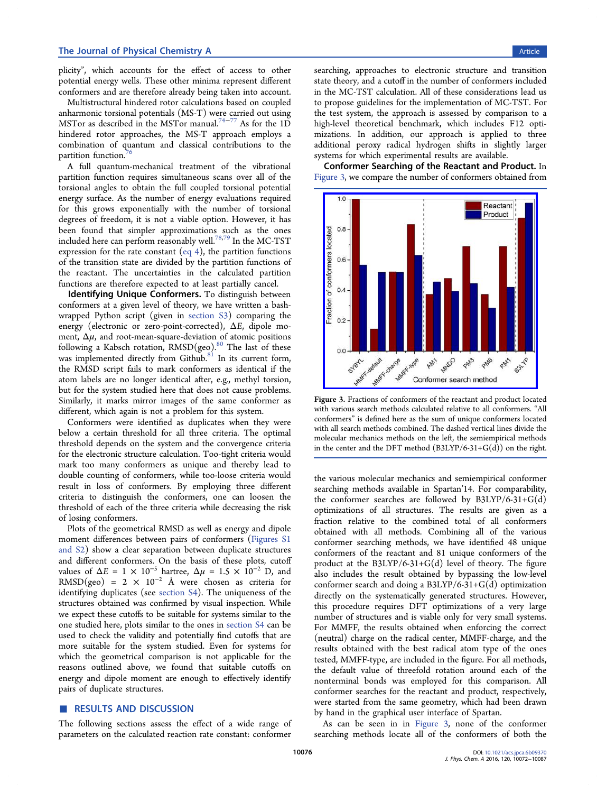plicity", which accounts for the effect of access to other potential energy wells. These other minima represent different conformers and are therefore already being taken into account.

Multistructural hindered rotor calculations based on coupled anharmonic torsional potentials (MS-T) were carried out using MSTor as described in the MSTor manual.<sup>74-77</sup> As for the 1D hindered rotor approaches, the MS-T approach employs a combination of quantum and classical contributions to the partition function.

A full quantum-mechanical treatment of the vibrational partition function requires simultaneous scans over all of the torsional angles to obtain the full coupled torsional potential energy surface. As the number of energy evaluations required for this grows exponentially with the number of torsional degrees of freedom, it is not a viable option. However, it has been found that simpler approximations such as the ones included here can perform reasonably well.<sup>78,79</sup> In the MC-TST expression for the rate constant (eq 4), the partition functions of the transition state are divided by the partition functions of the reactant. The uncertainties in the calculated partition functions are therefore expected to at least partially cancel.

Identifying Unique Conformers. To distinguish between conformers at a given level of theory, we have written a bashwrapped Python script (given in [section S3](http://pubs.acs.org/doi/suppl/10.1021/acs.jpca.6b09370/suppl_file/jp6b09370_si_001.pdf)) comparing the energy (electronic or zero-point-corrected),  $\Delta E$ , dipole moment,  $\Delta \mu$ , and root-mean-square-deviation of atomic positions following a Kabsch rotation,  $RMSD(geo)$ .<sup>80</sup> The last of these was implemented directly from Github.<sup>81</sup> In its current form, the RMSD script fails to mark conformers as identical if the atom labels are no longer identical after, e.g., methyl torsion, but for the system studied here that does not cause problems. Similarly, it marks mirror images of the same conformer as different, which again is not a problem for this system.

Conformers were identified as duplicates when they were below a certain threshold for all three criteria. The optimal threshold depends on the system and the convergence criteria for the electronic structure calculation. Too-tight criteria would mark too many conformers as unique and thereby lead to double counting of conformers, while too-loose criteria would result in loss of conformers. By employing three different criteria to distinguish the conformers, one can loosen the threshold of each of the three criteria while decreasing the risk of losing conformers.

Plots of the geometrical RMSD as well as energy and dipole moment differences between pairs of conformers ([Figures S1](http://pubs.acs.org/doi/suppl/10.1021/acs.jpca.6b09370/suppl_file/jp6b09370_si_001.pdf) [and S2\)](http://pubs.acs.org/doi/suppl/10.1021/acs.jpca.6b09370/suppl_file/jp6b09370_si_001.pdf) show a clear separation between duplicate structures and different conformers. On the basis of these plots, cutoff values of  $\Delta E = 1 \times 10^{-5}$  hartree,  $\Delta \mu = 1.5 \times 10^{-2}$  D, and  $\mathrm{RMSD}( \mathrm{geo})$  = 2  $\times$  10<sup>−2</sup> Å were chosen as criteria for identifying duplicates (see [section S4\)](http://pubs.acs.org/doi/suppl/10.1021/acs.jpca.6b09370/suppl_file/jp6b09370_si_001.pdf). The uniqueness of the structures obtained was confirmed by visual inspection. While we expect these cutoffs to be suitable for systems similar to the one studied here, plots similar to the ones in [section S4](http://pubs.acs.org/doi/suppl/10.1021/acs.jpca.6b09370/suppl_file/jp6b09370_si_001.pdf) can be used to check the validity and potentially find cutoffs that are more suitable for the system studied. Even for systems for which the geometrical comparison is not applicable for the reasons outlined above, we found that suitable cutoffs on energy and dipole moment are enough to effectively identify pairs of duplicate structures.

#### ■ RESULTS AND DISCUSSION

The following sections assess the effect of a wide range of parameters on the calculated reaction rate constant: conformer

searching, approaches to electronic structure and transition state theory, and a cutoff in the number of conformers included in the MC-TST calculation. All of these considerations lead us to propose guidelines for the implementation of MC-TST. For the test system, the approach is assessed by comparison to a high-level theoretical benchmark, which includes F12 optimizations. In addition, our approach is applied to three additional peroxy radical hydrogen shifts in slightly larger systems for which experimental results are available.

Conformer Searching of the Reactant and Product. In Figure 3, we compare the number of conformers obtained from



Figure 3. Fractions of conformers of the reactant and product located with various search methods calculated relative to all conformers. "All conformers" is defined here as the sum of unique conformers located with all search methods combined. The dashed vertical lines divide the molecular mechanics methods on the left, the semiempirical methods in the center and the DFT method  $(B3LYP/6-31+G(d))$  on the right.

the various molecular mechanics and semiempirical conformer searching methods available in Spartan'14. For comparability, the conformer searches are followed by  $B3LYP/6-31+G(d)$ optimizations of all structures. The results are given as a fraction relative to the combined total of all conformers obtained with all methods. Combining all of the various conformer searching methods, we have identified 48 unique conformers of the reactant and 81 unique conformers of the product at the  $B3LYP/6-31+G(d)$  level of theory. The figure also includes the result obtained by bypassing the low-level conformer search and doing a  $B3LYP/6-31+G(d)$  optimization directly on the systematically generated structures. However, this procedure requires DFT optimizations of a very large number of structures and is viable only for very small systems. For MMFF, the results obtained when enforcing the correct (neutral) charge on the radical center, MMFF-charge, and the results obtained with the best radical atom type of the ones tested, MMFF-type, are included in the figure. For all methods, the default value of threefold rotation around each of the nonterminal bonds was employed for this comparison. All conformer searches for the reactant and product, respectively, were started from the same geometry, which had been drawn by hand in the graphical user interface of Spartan.

As can be seen in in Figure 3, none of the conformer searching methods locate all of the conformers of both the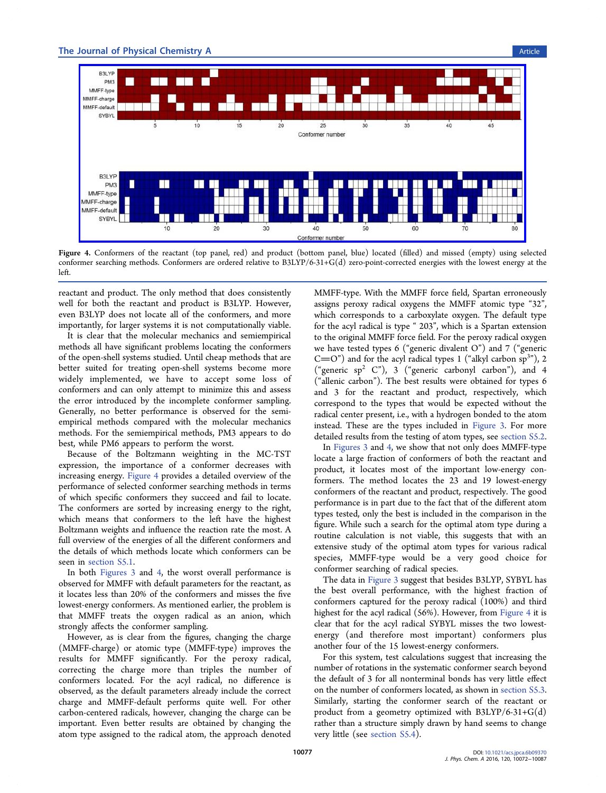

Figure 4. Conformers of the reactant (top panel, red) and product (bottom panel, blue) located (filled) and missed (empty) using selected conformer searching methods. Conformers are ordered relative to B3LYP/6-31+G(d) zero-point-corrected energies with the lowest energy at the left.

reactant and product. The only method that does consistently well for both the reactant and product is B3LYP. However, even B3LYP does not locate all of the conformers, and more importantly, for larger systems it is not computationally viable.

It is clear that the molecular mechanics and semiempirical methods all have significant problems locating the conformers of the open-shell systems studied. Until cheap methods that are better suited for treating open-shell systems become more widely implemented, we have to accept some loss of conformers and can only attempt to minimize this and assess the error introduced by the incomplete conformer sampling. Generally, no better performance is observed for the semiempirical methods compared with the molecular mechanics methods. For the semiempirical methods, PM3 appears to do best, while PM6 appears to perform the worst.

Because of the Boltzmann weighting in the MC-TST expression, the importance of a conformer decreases with increasing energy. Figure 4 provides a detailed overview of the performance of selected conformer searching methods in terms of which specific conformers they succeed and fail to locate. The conformers are sorted by increasing energy to the right, which means that conformers to the left have the highest Boltzmann weights and influence the reaction rate the most. A full overview of the energies of all the different conformers and the details of which methods locate which conformers can be seen in [section S5.1](http://pubs.acs.org/doi/suppl/10.1021/acs.jpca.6b09370/suppl_file/jp6b09370_si_001.pdf).

In both Figures 3 and 4, the worst overall performance is observed for MMFF with default parameters for the reactant, as it locates less than 20% of the conformers and misses the five lowest-energy conformers. As mentioned earlier, the problem is that MMFF treats the oxygen radical as an anion, which strongly affects the conformer sampling.

However, as is clear from the figures, changing the charge (MMFF-charge) or atomic type (MMFF-type) improves the results for MMFF significantly. For the peroxy radical, correcting the charge more than triples the number of conformers located. For the acyl radical, no difference is observed, as the default parameters already include the correct charge and MMFF-default performs quite well. For other carbon-centered radicals, however, changing the charge can be important. Even better results are obtained by changing the atom type assigned to the radical atom, the approach denoted

MMFF-type. With the MMFF force field, Spartan erroneously assigns peroxy radical oxygens the MMFF atomic type "32", which corresponds to a carboxylate oxygen. The default type for the acyl radical is type " 203", which is a Spartan extension to the original MMFF force field. For the peroxy radical oxygen we have tested types 6 ("generic divalent O") and 7 ("generic  $C = O$ ") and for the acyl radical types 1 ("alkyl carbon sp<sup>3</sup>"), 2 ("generic sp<sup>2</sup> C"), 3 ("generic carbonyl carbon"), and 4 ("allenic carbon"). The best results were obtained for types 6 and 3 for the reactant and product, respectively, which correspond to the types that would be expected without the radical center present, i.e., with a hydrogen bonded to the atom instead. These are the types included in Figure 3. For more detailed results from the testing of atom types, see [section S5.2.](http://pubs.acs.org/doi/suppl/10.1021/acs.jpca.6b09370/suppl_file/jp6b09370_si_001.pdf)

In Figures 3 and 4, we show that not only does MMFF-type locate a large fraction of conformers of both the reactant and product, it locates most of the important low-energy conformers. The method locates the 23 and 19 lowest-energy conformers of the reactant and product, respectively. The good performance is in part due to the fact that of the different atom types tested, only the best is included in the comparison in the figure. While such a search for the optimal atom type during a routine calculation is not viable, this suggests that with an extensive study of the optimal atom types for various radical species, MMFF-type would be a very good choice for conformer searching of radical species.

The data in Figure 3 suggest that besides B3LYP, SYBYL has the best overall performance, with the highest fraction of conformers captured for the peroxy radical (100%) and third highest for the acyl radical (56%). However, from Figure 4 it is clear that for the acyl radical SYBYL misses the two lowestenergy (and therefore most important) conformers plus another four of the 15 lowest-energy conformers.

For this system, test calculations suggest that increasing the number of rotations in the systematic conformer search beyond the default of 3 for all nonterminal bonds has very little effect on the number of conformers located, as shown in [section S5.3.](http://pubs.acs.org/doi/suppl/10.1021/acs.jpca.6b09370/suppl_file/jp6b09370_si_001.pdf) Similarly, starting the conformer search of the reactant or product from a geometry optimized with  $B3LYP/6-31+G(d)$ rather than a structure simply drawn by hand seems to change very little (see [section S5.4](http://pubs.acs.org/doi/suppl/10.1021/acs.jpca.6b09370/suppl_file/jp6b09370_si_001.pdf)).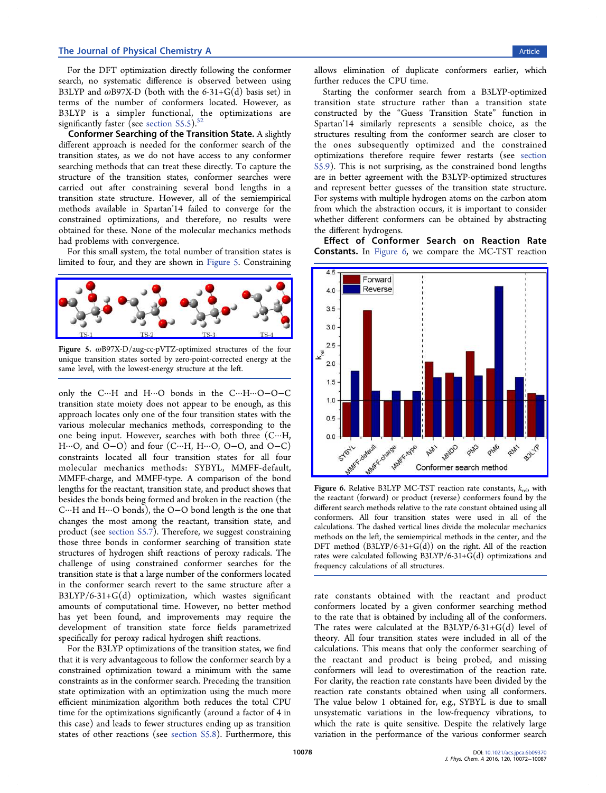For the DFT optimization directly following the conformer search, no systematic difference is observed between using B3LYP and  $\omega$ B97X-D (both with the 6-31+G(d) basis set) in terms of the number of conformers located. However, as B3LYP is a simpler functional, the optimizations are significantly faster (see section  $S5.5$ ).<sup>5</sup>

Conformer Searching of the Transition State. A slightly different approach is needed for the conformer search of the transition states, as we do not have access to any conformer searching methods that can treat these directly. To capture the structure of the transition states, conformer searches were carried out after constraining several bond lengths in a transition state structure. However, all of the semiempirical methods available in Spartan'14 failed to converge for the constrained optimizations, and therefore, no results were obtained for these. None of the molecular mechanics methods had problems with convergence.

For this small system, the total number of transition states is limited to four, and they are shown in Figure 5. Constraining



Figure 5. ωB97X-D/aug-cc-pVTZ-optimized structures of the four unique transition states sorted by zero-point-corrected energy at the same level, with the lowest-energy structure at the left.

only the C···H and H···O bonds in the C···H···O−O−C transition state moiety does not appear to be enough, as this approach locates only one of the four transition states with the various molecular mechanics methods, corresponding to the one being input. However, searches with both three (C···H, H···O, and O−O) and four (C···H, H···O, O−O, and O−C) constraints located all four transition states for all four molecular mechanics methods: SYBYL, MMFF-default, MMFF-charge, and MMFF-type. A comparison of the bond lengths for the reactant, transition state, and product shows that besides the bonds being formed and broken in the reaction (the C···H and H···O bonds), the O−O bond length is the one that changes the most among the reactant, transition state, and product (see [section S5.7\)](http://pubs.acs.org/doi/suppl/10.1021/acs.jpca.6b09370/suppl_file/jp6b09370_si_001.pdf). Therefore, we suggest constraining those three bonds in conformer searching of transition state structures of hydrogen shift reactions of peroxy radicals. The challenge of using constrained conformer searches for the transition state is that a large number of the conformers located in the conformer search revert to the same structure after a B3LYP/6-31+G(d) optimization, which wastes significant amounts of computational time. However, no better method has yet been found, and improvements may require the development of transition state force fields parametrized specifically for peroxy radical hydrogen shift reactions.

For the B3LYP optimizations of the transition states, we find that it is very advantageous to follow the conformer search by a constrained optimization toward a minimum with the same constraints as in the conformer search. Preceding the transition state optimization with an optimization using the much more efficient minimization algorithm both reduces the total CPU time for the optimizations significantly (around a factor of 4 in this case) and leads to fewer structures ending up as transition states of other reactions (see [section S5.8](http://pubs.acs.org/doi/suppl/10.1021/acs.jpca.6b09370/suppl_file/jp6b09370_si_001.pdf)). Furthermore, this

allows elimination of duplicate conformers earlier, which further reduces the CPU time.

Starting the conformer search from a B3LYP-optimized transition state structure rather than a transition state constructed by the "Guess Transition State" function in Spartan'14 similarly represents a sensible choice, as the structures resulting from the conformer search are closer to the ones subsequently optimized and the constrained optimizations therefore require fewer restarts (see [section](http://pubs.acs.org/doi/suppl/10.1021/acs.jpca.6b09370/suppl_file/jp6b09370_si_001.pdf) [S5.9\)](http://pubs.acs.org/doi/suppl/10.1021/acs.jpca.6b09370/suppl_file/jp6b09370_si_001.pdf). This is not surprising, as the constrained bond lengths are in better agreement with the B3LYP-optimized structures and represent better guesses of the transition state structure. For systems with multiple hydrogen atoms on the carbon atom from which the abstraction occurs, it is important to consider whether different conformers can be obtained by abstracting the different hydrogens.

Effect of Conformer Search on Reaction Rate Constants. In Figure 6, we compare the MC-TST reaction



Figure 6. Relative B3LYP MC-TST reaction rate constants,  $k_{\text{rel}}$ , with the reactant (forward) or product (reverse) conformers found by the different search methods relative to the rate constant obtained using all conformers. All four transition states were used in all of the calculations. The dashed vertical lines divide the molecular mechanics methods on the left, the semiempirical methods in the center, and the DFT method  $(B3LYP/6-31+G(d))$  on the right. All of the reaction rates were calculated following B3LYP/6-31+G(d) optimizations and frequency calculations of all structures.

rate constants obtained with the reactant and product conformers located by a given conformer searching method to the rate that is obtained by including all of the conformers. The rates were calculated at the  $B3LYP/6-31+G(d)$  level of theory. All four transition states were included in all of the calculations. This means that only the conformer searching of the reactant and product is being probed, and missing conformers will lead to overestimation of the reaction rate. For clarity, the reaction rate constants have been divided by the reaction rate constants obtained when using all conformers. The value below 1 obtained for, e.g., SYBYL is due to small unsystematic variations in the low-frequency vibrations, to which the rate is quite sensitive. Despite the relatively large variation in the performance of the various conformer search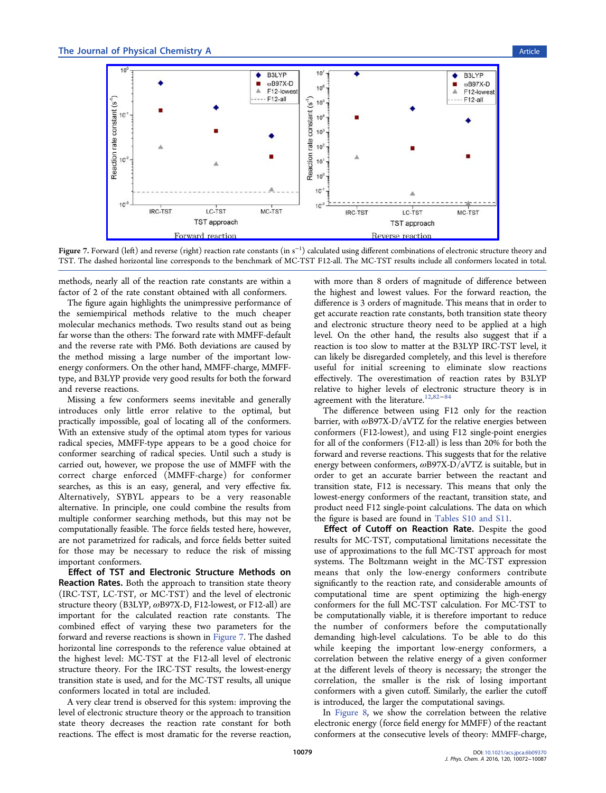

Fi<mark>gure 7.</mark> Forward (left) and reverse (right) reaction rate constants (in s<sup>−1</sup>) calculated using different combinations of electronic structure theory and TST. The dashed horizontal line corresponds to the benchmark of MC-TST F12-all. The MC-TST results include all conformers located in total.

methods, nearly all of the reaction rate constants are within a factor of 2 of the rate constant obtained with all conformers.

The figure again highlights the unimpressive performance of the semiempirical methods relative to the much cheaper molecular mechanics methods. Two results stand out as being far worse than the others: The forward rate with MMFF-default and the reverse rate with PM6. Both deviations are caused by the method missing a large number of the important lowenergy conformers. On the other hand, MMFF-charge, MMFFtype, and B3LYP provide very good results for both the forward and reverse reactions.

Missing a few conformers seems inevitable and generally introduces only little error relative to the optimal, but practically impossible, goal of locating all of the conformers. With an extensive study of the optimal atom types for various radical species, MMFF-type appears to be a good choice for conformer searching of radical species. Until such a study is carried out, however, we propose the use of MMFF with the correct charge enforced (MMFF-charge) for conformer searches, as this is an easy, general, and very effective fix. Alternatively, SYBYL appears to be a very reasonable alternative. In principle, one could combine the results from multiple conformer searching methods, but this may not be computationally feasible. The force fields tested here, however, are not parametrized for radicals, and force fields better suited for those may be necessary to reduce the risk of missing important conformers.

Effect of TST and Electronic Structure Methods on Reaction Rates. Both the approach to transition state theory (IRC-TST, LC-TST, or MC-TST) and the level of electronic structure theory (B3LYP,  $\omega$ B97X-D, F12-lowest, or F12-all) are important for the calculated reaction rate constants. The combined effect of varying these two parameters for the forward and reverse reactions is shown in Figure 7. The dashed horizontal line corresponds to the reference value obtained at the highest level: MC-TST at the F12-all level of electronic structure theory. For the IRC-TST results, the lowest-energy transition state is used, and for the MC-TST results, all unique conformers located in total are included.

A very clear trend is observed for this system: improving the level of electronic structure theory or the approach to transition state theory decreases the reaction rate constant for both reactions. The effect is most dramatic for the reverse reaction,

with more than 8 orders of magnitude of difference between the highest and lowest values. For the forward reaction, the difference is 3 orders of magnitude. This means that in order to get accurate reaction rate constants, both transition state theory and electronic structure theory need to be applied at a high level. On the other hand, the results also suggest that if a reaction is too slow to matter at the B3LYP IRC-TST level, it can likely be disregarded completely, and this level is therefore useful for initial screening to eliminate slow reactions effectively. The overestimation of reaction rates by B3LYP relative to higher levels of electronic structure theory is in agreement with the literature.<sup>12,82−84</sup>

The difference between using F12 only for the reaction barrier, with  $\omega$ B97X-D/aVTZ for the relative energies between conformers (F12-lowest), and using F12 single-point energies for all of the conformers (F12-all) is less than 20% for both the forward and reverse reactions. This suggests that for the relative energy between conformers, ωB97X-D/aVTZ is suitable, but in order to get an accurate barrier between the reactant and transition state, F12 is necessary. This means that only the lowest-energy conformers of the reactant, transition state, and product need F12 single-point calculations. The data on which the figure is based are found in [Tables S10 and S11](http://pubs.acs.org/doi/suppl/10.1021/acs.jpca.6b09370/suppl_file/jp6b09370_si_001.pdf).

Effect of Cutoff on Reaction Rate. Despite the good results for MC-TST, computational limitations necessitate the use of approximations to the full MC-TST approach for most systems. The Boltzmann weight in the MC-TST expression means that only the low-energy conformers contribute significantly to the reaction rate, and considerable amounts of computational time are spent optimizing the high-energy conformers for the full MC-TST calculation. For MC-TST to be computationally viable, it is therefore important to reduce the number of conformers before the computationally demanding high-level calculations. To be able to do this while keeping the important low-energy conformers, a correlation between the relative energy of a given conformer at the different levels of theory is necessary; the stronger the correlation, the smaller is the risk of losing important conformers with a given cutoff. Similarly, the earlier the cutoff is introduced, the larger the computational savings.

In Figure 8, we show the correlation between the relative electronic energy (force field energy for MMFF) of the reactant conformers at the consecutive levels of theory: MMFF-charge,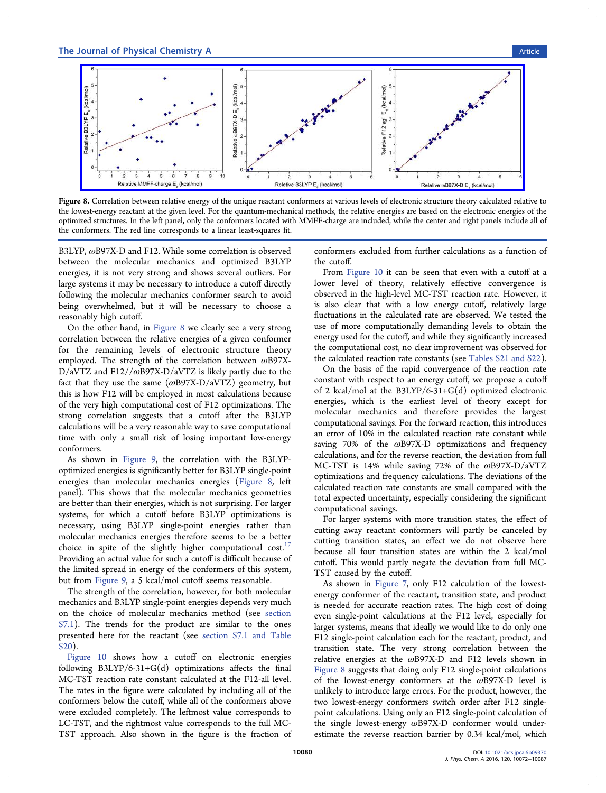

Figure 8. Correlation between relative energy of the unique reactant conformers at various levels of electronic structure theory calculated relative to the lowest-energy reactant at the given level. For the quantum-mechanical methods, the relative energies are based on the electronic energies of the optimized structures. In the left panel, only the conformers located with MMFF-charge are included, while the center and right panels include all of the conformers. The red line corresponds to a linear least-squares fit.

B3LYP, ωB97X-D and F12. While some correlation is observed between the molecular mechanics and optimized B3LYP energies, it is not very strong and shows several outliers. For large systems it may be necessary to introduce a cutoff directly following the molecular mechanics conformer search to avoid being overwhelmed, but it will be necessary to choose a reasonably high cutoff.

On the other hand, in Figure 8 we clearly see a very strong correlation between the relative energies of a given conformer for the remaining levels of electronic structure theory employed. The strength of the correlation between ωB97X- $D/aVTZ$  and  $F12//ωB97X-D/aVTZ$  is likely partly due to the fact that they use the same  $(\omega B97X-D/aVTZ)$  geometry, but this is how F12 will be employed in most calculations because of the very high computational cost of F12 optimizations. The strong correlation suggests that a cutoff after the B3LYP calculations will be a very reasonable way to save computational time with only a small risk of losing important low-energy conformers.

As shown in Figure 9, the correlation with the B3LYPoptimized energies is significantly better for B3LYP single-point energies than molecular mechanics energies (Figure 8, left panel). This shows that the molecular mechanics geometries are better than their energies, which is not surprising. For larger systems, for which a cutoff before B3LYP optimizations is necessary, using B3LYP single-point energies rather than molecular mechanics energies therefore seems to be a better choice in spite of the slightly higher computational cost.<sup>17</sup> Providing an actual value for such a cutoff is difficult because of the limited spread in energy of the conformers of this system, but from Figure 9, a 5 kcal/mol cutoff seems reasonable.

The strength of the correlation, however, for both molecular mechanics and B3LYP single-point energies depends very much on the choice of molecular mechanics method (see [section](http://pubs.acs.org/doi/suppl/10.1021/acs.jpca.6b09370/suppl_file/jp6b09370_si_001.pdf) [S7.1\)](http://pubs.acs.org/doi/suppl/10.1021/acs.jpca.6b09370/suppl_file/jp6b09370_si_001.pdf). The trends for the product are similar to the ones presented here for the reactant (see [section S7.1 and Table](http://pubs.acs.org/doi/suppl/10.1021/acs.jpca.6b09370/suppl_file/jp6b09370_si_001.pdf) [S20\)](http://pubs.acs.org/doi/suppl/10.1021/acs.jpca.6b09370/suppl_file/jp6b09370_si_001.pdf).

Figure 10 shows how a cutoff on electronic energies following  $B3LYP/6-31+G(d)$  optimizations affects the final MC-TST reaction rate constant calculated at the F12-all level. The rates in the figure were calculated by including all of the conformers below the cutoff, while all of the conformers above were excluded completely. The leftmost value corresponds to LC-TST, and the rightmost value corresponds to the full MC-TST approach. Also shown in the figure is the fraction of conformers excluded from further calculations as a function of the cutoff.

From Figure 10 it can be seen that even with a cutoff at a lower level of theory, relatively effective convergence is observed in the high-level MC-TST reaction rate. However, it is also clear that with a low energy cutoff, relatively large fluctuations in the calculated rate are observed. We tested the use of more computationally demanding levels to obtain the energy used for the cutoff, and while they significantly increased the computational cost, no clear improvement was observed for the calculated reaction rate constants (see [Tables S21 and S22\)](http://pubs.acs.org/doi/suppl/10.1021/acs.jpca.6b09370/suppl_file/jp6b09370_si_001.pdf).

On the basis of the rapid convergence of the reaction rate constant with respect to an energy cutoff, we propose a cutoff of 2 kcal/mol at the  $B3LYP/6-31+G(d)$  optimized electronic energies, which is the earliest level of theory except for molecular mechanics and therefore provides the largest computational savings. For the forward reaction, this introduces an error of 10% in the calculated reaction rate constant while saving 70% of the  $\omega$ B97X-D optimizations and frequency calculations, and for the reverse reaction, the deviation from full MC-TST is 14% while saving 72% of the ωB97X-D/aVTZ optimizations and frequency calculations. The deviations of the calculated reaction rate constants are small compared with the total expected uncertainty, especially considering the significant computational savings.

For larger systems with more transition states, the effect of cutting away reactant conformers will partly be canceled by cutting transition states, an effect we do not observe here because all four transition states are within the 2 kcal/mol cutoff. This would partly negate the deviation from full MC-TST caused by the cutoff.

As shown in Figure 7, only F12 calculation of the lowestenergy conformer of the reactant, transition state, and product is needed for accurate reaction rates. The high cost of doing even single-point calculations at the F12 level, especially for larger systems, means that ideally we would like to do only one F12 single-point calculation each for the reactant, product, and transition state. The very strong correlation between the relative energies at the ωB97X-D and F12 levels shown in Figure 8 suggests that doing only F12 single-point calculations of the lowest-energy conformers at the ωB97X-D level is unlikely to introduce large errors. For the product, however, the two lowest-energy conformers switch order after F12 singlepoint calculations. Using only an F12 single-point calculation of the single lowest-energy ωB97X-D conformer would underestimate the reverse reaction barrier by 0.34 kcal/mol, which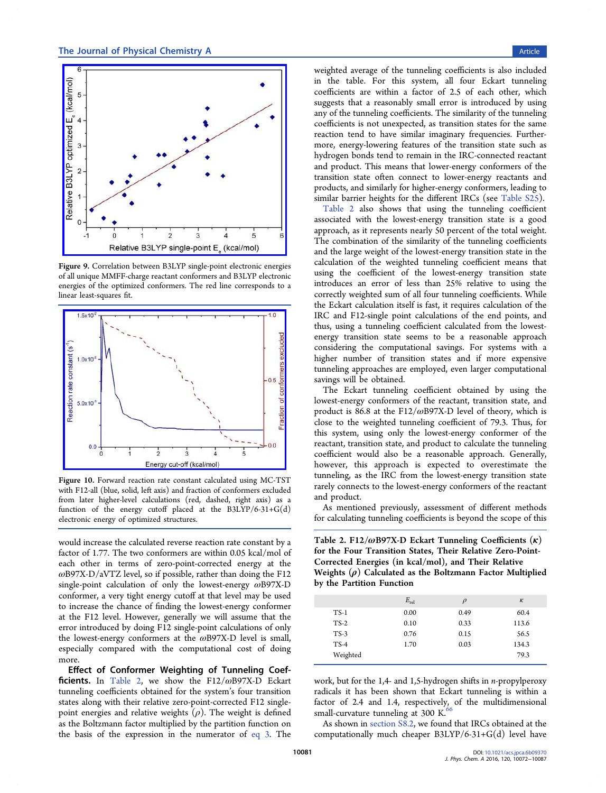

Figure 9. Correlation between B3LYP single-point electronic energies of all unique MMFF-charge reactant conformers and B3LYP electronic energies of the optimized conformers. The red line corresponds to a linear least-squares fit.



Figure 10. Forward reaction rate constant calculated using MC-TST with F12-all (blue, solid, left axis) and fraction of conformers excluded from later higher-level calculations (red, dashed, right axis) as a function of the energy cutoff placed at the  $B3LYP/6-31+G(d)$ electronic energy of optimized structures.

would increase the calculated reverse reaction rate constant by a factor of 1.77. The two conformers are within 0.05 kcal/mol of each other in terms of zero-point-corrected energy at the  $\omega$ B97X-D/aVTZ level, so if possible, rather than doing the F12 single-point calculation of only the lowest-energy ωB97X-D conformer, a very tight energy cutoff at that level may be used to increase the chance of finding the lowest-energy conformer at the F12 level. However, generally we will assume that the error introduced by doing F12 single-point calculations of only the lowest-energy conformers at the  $\omega$ B97X-D level is small, especially compared with the computational cost of doing more.

Effect of Conformer Weighting of Tunneling Coefficients. In Table 2, we show the  $F12/\omega B97X-D$  Eckart tunneling coefficients obtained for the system's four transition states along with their relative zero-point-corrected F12 singlepoint energies and relative weights  $(\rho)$ . The weight is defined as the Boltzmann factor multiplied by the partition function on the basis of the expression in the numerator of eq 3. The

weighted average of the tunneling coefficients is also included in the table. For this system, all four Eckart tunneling coefficients are within a factor of 2.5 of each other, which suggests that a reasonably small error is introduced by using any of the tunneling coefficients. The similarity of the tunneling coefficients is not unexpected, as transition states for the same reaction tend to have similar imaginary frequencies. Furthermore, energy-lowering features of the transition state such as hydrogen bonds tend to remain in the IRC-connected reactant and product. This means that lower-energy conformers of the transition state often connect to lower-energy reactants and products, and similarly for higher-energy conformers, leading to similar barrier heights for the different IRCs (see [Table S25](http://pubs.acs.org/doi/suppl/10.1021/acs.jpca.6b09370/suppl_file/jp6b09370_si_001.pdf)).

Table 2 also shows that using the tunneling coefficient associated with the lowest-energy transition state is a good approach, as it represents nearly 50 percent of the total weight. The combination of the similarity of the tunneling coefficients and the large weight of the lowest-energy transition state in the calculation of the weighted tunneling coefficient means that using the coefficient of the lowest-energy transition state introduces an error of less than 25% relative to using the correctly weighted sum of all four tunneling coefficients. While the Eckart calculation itself is fast, it requires calculation of the IRC and F12-single point calculations of the end points, and thus, using a tunneling coefficient calculated from the lowestenergy transition state seems to be a reasonable approach considering the computational savings. For systems with a higher number of transition states and if more expensive tunneling approaches are employed, even larger computational savings will be obtained.

The Eckart tunneling coefficient obtained by using the lowest-energy conformers of the reactant, transition state, and product is 86.8 at the F12/ $\omega$ B97X-D level of theory, which is close to the weighted tunneling coefficient of 79.3. Thus, for this system, using only the lowest-energy conformer of the reactant, transition state, and product to calculate the tunneling coefficient would also be a reasonable approach. Generally, however, this approach is expected to overestimate the tunneling, as the IRC from the lowest-energy transition state rarely connects to the lowest-energy conformers of the reactant and product.

As mentioned previously, assessment of different methods for calculating tunneling coefficients is beyond the scope of this

Table 2. F12/ $\omega$ B97X-D Eckart Tunneling Coefficients  $(\kappa)$ for the Four Transition States, Their Relative Zero-Point-Corrected Energies (in kcal/mol), and Their Relative Weights  $(\rho)$  Calculated as the Boltzmann Factor Multiplied by the Partition Function

|          | $E_{rel}$ | $\rho$ | $\kappa$ |
|----------|-----------|--------|----------|
| $TS-1$   | 0.00      | 0.49   | 60.4     |
| $TS-2$   | 0.10      | 0.33   | 113.6    |
| $TS-3$   | 0.76      | 0.15   | 56.5     |
| $TS-4$   | 1.70      | 0.03   | 134.3    |
| Weighted |           |        | 79.3     |

work, but for the 1,4- and 1,5-hydrogen shifts in n-propylperoxy radicals it has been shown that Eckart tunneling is within a factor of 2.4 and 1.4, respectively, of the multidimensional small-curvature tunneling at 300 K. $66$ 

As shown in [section S8.2](http://pubs.acs.org/doi/suppl/10.1021/acs.jpca.6b09370/suppl_file/jp6b09370_si_001.pdf), we found that IRCs obtained at the computationally much cheaper  $B3LYP/6-31+G(d)$  level have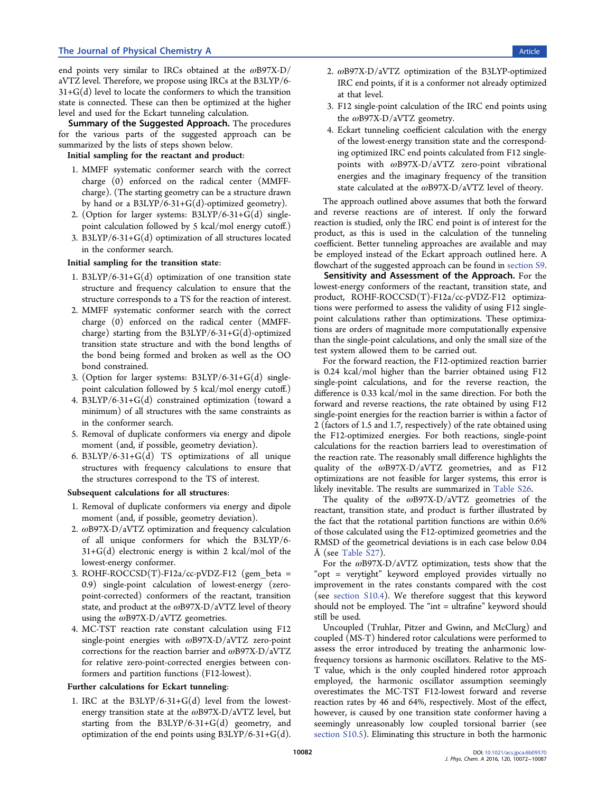end points very similar to IRCs obtained at the  $\omega$ B97X-D/ aVTZ level. Therefore, we propose using IRCs at the B3LYP/6-  $31+G(d)$  level to locate the conformers to which the transition state is connected. These can then be optimized at the higher level and used for the Eckart tunneling calculation.

Summary of the Suggested Approach. The procedures for the various parts of the suggested approach can be summarized by the lists of steps shown below.

Initial sampling for the reactant and product:

- 1. MMFF systematic conformer search with the correct charge (0) enforced on the radical center (MMFFcharge). (The starting geometry can be a structure drawn by hand or a B3LYP/6-31+G(d)-optimized geometry).
- 2. (Option for larger systems: B3LYP/6-31+G(d) singlepoint calculation followed by 5 kcal/mol energy cutoff.)
- 3. B3LYP/6-31+G(d) optimization of all structures located in the conformer search.

Initial sampling for the transition state:

- 1. B3LYP/6-31+G(d) optimization of one transition state structure and frequency calculation to ensure that the structure corresponds to a TS for the reaction of interest.
- 2. MMFF systematic conformer search with the correct charge (0) enforced on the radical center (MMFFcharge) starting from the B3LYP/6-31+G(d)-optimized transition state structure and with the bond lengths of the bond being formed and broken as well as the OO bond constrained.
- 3. (Option for larger systems: B3LYP/6-31+G(d) singlepoint calculation followed by 5 kcal/mol energy cutoff.)
- 4. B3LYP/6-31+G(d) constrained optimization (toward a minimum) of all structures with the same constraints as in the conformer search.
- 5. Removal of duplicate conformers via energy and dipole moment (and, if possible, geometry deviation).
- 6. B3LYP/6-31+ $G(d)$  TS optimizations of all unique structures with frequency calculations to ensure that the structures correspond to the TS of interest.

#### Subsequent calculations for all structures:

- 1. Removal of duplicate conformers via energy and dipole moment (and, if possible, geometry deviation).
- 2. ωB97X-D/aVTZ optimization and frequency calculation of all unique conformers for which the B3LYP/6-  $31+G(d)$  electronic energy is within 2 kcal/mol of the lowest-energy conformer.
- 3. ROHF-ROCCSD(T)-F12a/cc-pVDZ-F12 (gem beta = 0.9) single-point calculation of lowest-energy (zeropoint-corrected) conformers of the reactant, transition state, and product at the  $\omega$ B97X-D/aVTZ level of theory using the  $\omega$ B97X-D/aVTZ geometries.
- 4. MC-TST reaction rate constant calculation using F12 single-point energies with ωB97X-D/aVTZ zero-point corrections for the reaction barrier and ωB97X-D/aVTZ for relative zero-point-corrected energies between conformers and partition functions (F12-lowest).

#### Further calculations for Eckart tunneling:

1. IRC at the  $B3LYP/6-31+G(d)$  level from the lowestenergy transition state at the ωB97X-D/aVTZ level, but starting from the  $B3LYP/6-31+G(d)$  geometry, and optimization of the end points using  $B3LYP/6-31+G(d)$ .

- 2. ωB97X-D/aVTZ optimization of the B3LYP-optimized IRC end points, if it is a conformer not already optimized at that level.
- 3. F12 single-point calculation of the IRC end points using the ωB97X-D/aVTZ geometry.
- 4. Eckart tunneling coefficient calculation with the energy of the lowest-energy transition state and the corresponding optimized IRC end points calculated from F12 singlepoints with ωB97X-D/aVTZ zero-point vibrational energies and the imaginary frequency of the transition state calculated at the ωB97X-D/aVTZ level of theory.

The approach outlined above assumes that both the forward and reverse reactions are of interest. If only the forward reaction is studied, only the IRC end point is of interest for the product, as this is used in the calculation of the tunneling coefficient. Better tunneling approaches are available and may be employed instead of the Eckart approach outlined here. A flowchart of the suggested approach can be found in [section S9.](http://pubs.acs.org/doi/suppl/10.1021/acs.jpca.6b09370/suppl_file/jp6b09370_si_001.pdf)

Sensitivity and Assessment of the Approach. For the lowest-energy conformers of the reactant, transition state, and product, ROHF-ROCCSD(T)-F12a/cc-pVDZ-F12 optimizations were performed to assess the validity of using F12 singlepoint calculations rather than optimizations. These optimizations are orders of magnitude more computationally expensive than the single-point calculations, and only the small size of the test system allowed them to be carried out.

For the forward reaction, the F12-optimized reaction barrier is 0.24 kcal/mol higher than the barrier obtained using F12 single-point calculations, and for the reverse reaction, the difference is 0.33 kcal/mol in the same direction. For both the forward and reverse reactions, the rate obtained by using F12 single-point energies for the reaction barrier is within a factor of 2 (factors of 1.5 and 1.7, respectively) of the rate obtained using the F12-optimized energies. For both reactions, single-point calculations for the reaction barriers lead to overestimation of the reaction rate. The reasonably small difference highlights the quality of the  $\omega$ B97X-D/aVTZ geometries, and as F12 optimizations are not feasible for larger systems, this error is likely inevitable. The results are summarized in [Table S26.](http://pubs.acs.org/doi/suppl/10.1021/acs.jpca.6b09370/suppl_file/jp6b09370_si_001.pdf)

The quality of the  $\omega$ B97X-D/aVTZ geometries of the reactant, transition state, and product is further illustrated by the fact that the rotational partition functions are within 0.6% of those calculated using the F12-optimized geometries and the RMSD of the geometrical deviations is in each case below 0.04 Å (see [Table S27\)](http://pubs.acs.org/doi/suppl/10.1021/acs.jpca.6b09370/suppl_file/jp6b09370_si_001.pdf).

For the ωB97X-D/aVTZ optimization, tests show that the "opt = verytight" keyword employed provides virtually no improvement in the rates constants compared with the cost (see [section S10.4\)](http://pubs.acs.org/doi/suppl/10.1021/acs.jpca.6b09370/suppl_file/jp6b09370_si_001.pdf). We therefore suggest that this keyword should not be employed. The "int = ultrafine" keyword should still be used.

Uncoupled (Truhlar, Pitzer and Gwinn, and McClurg) and coupled (MS-T) hindered rotor calculations were performed to assess the error introduced by treating the anharmonic lowfrequency torsions as harmonic oscillators. Relative to the MS-T value, which is the only coupled hindered rotor approach employed, the harmonic oscillator assumption seemingly overestimates the MC-TST F12-lowest forward and reverse reaction rates by 46 and 64%, respectively. Most of the effect, however, is caused by one transition state conformer having a seemingly unreasonably low coupled torsional barrier (see [section S10.5\)](http://pubs.acs.org/doi/suppl/10.1021/acs.jpca.6b09370/suppl_file/jp6b09370_si_001.pdf). Eliminating this structure in both the harmonic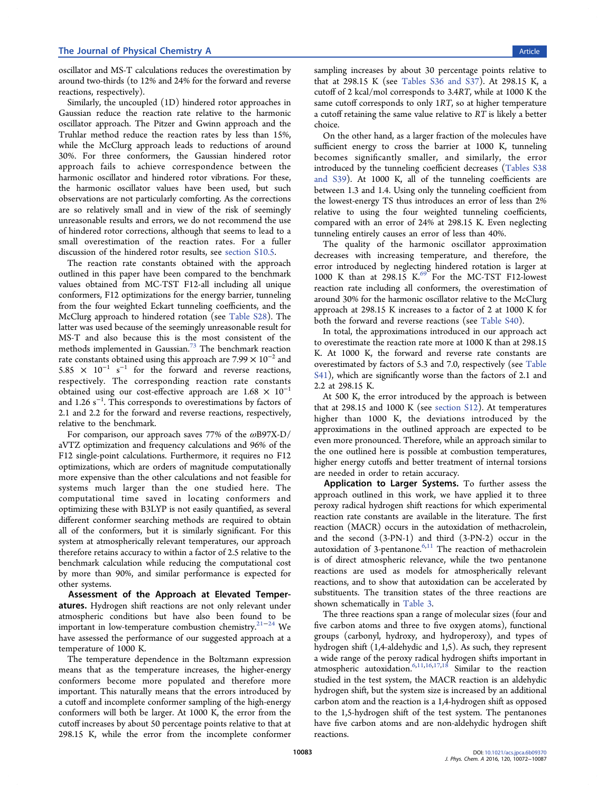oscillator and MS-T calculations reduces the overestimation by around two-thirds (to 12% and 24% for the forward and reverse reactions, respectively).

Similarly, the uncoupled (1D) hindered rotor approaches in Gaussian reduce the reaction rate relative to the harmonic oscillator approach. The Pitzer and Gwinn approach and the Truhlar method reduce the reaction rates by less than 15%, while the McClurg approach leads to reductions of around 30%. For three conformers, the Gaussian hindered rotor approach fails to achieve correspondence between the harmonic oscillator and hindered rotor vibrations. For these, the harmonic oscillator values have been used, but such observations are not particularly comforting. As the corrections are so relatively small and in view of the risk of seemingly unreasonable results and errors, we do not recommend the use of hindered rotor corrections, although that seems to lead to a small overestimation of the reaction rates. For a fuller discussion of the hindered rotor results, see [section S10.5](http://pubs.acs.org/doi/suppl/10.1021/acs.jpca.6b09370/suppl_file/jp6b09370_si_001.pdf).

The reaction rate constants obtained with the approach outlined in this paper have been compared to the benchmark values obtained from MC-TST F12-all including all unique conformers, F12 optimizations for the energy barrier, tunneling from the four weighted Eckart tunneling coefficients, and the McClurg approach to hindered rotation (see [Table S28\)](http://pubs.acs.org/doi/suppl/10.1021/acs.jpca.6b09370/suppl_file/jp6b09370_si_001.pdf). The latter was used because of the seemingly unreasonable result for MS-T and also because this is the most consistent of the methods implemented in Gaussian.<sup>73</sup> The benchmark reaction rate constants obtained using this approach are  $7.99 \times 10^{-2}$  and 5.85  $\times$  10<sup>-1</sup> s<sup>-1</sup> for the forward and reverse reactions, respectively. The corresponding reaction rate constants obtained using our cost-effective approach are  $1.68 \times 10^{-1}$ and 1.26  $\rm s^{-1}$ . This corresponds to overestimations by factors of 2.1 and 2.2 for the forward and reverse reactions, respectively, relative to the benchmark.

For comparison, our approach saves 77% of the ωB97X-D/ aVTZ optimization and frequency calculations and 96% of the F12 single-point calculations. Furthermore, it requires no F12 optimizations, which are orders of magnitude computationally more expensive than the other calculations and not feasible for systems much larger than the one studied here. The computational time saved in locating conformers and optimizing these with B3LYP is not easily quantified, as several different conformer searching methods are required to obtain all of the conformers, but it is similarly significant. For this system at atmospherically relevant temperatures, our approach therefore retains accuracy to within a factor of 2.5 relative to the benchmark calculation while reducing the computational cost by more than 90%, and similar performance is expected for other systems.

Assessment of the Approach at Elevated Temperatures. Hydrogen shift reactions are not only relevant under atmospheric conditions but have also been found to be important in low-temperature combustion chemistry.21−<sup>24</sup> We have assessed the performance of our suggested approach at a temperature of 1000 K.

The temperature dependence in the Boltzmann expression means that as the temperature increases, the higher-energy conformers become more populated and therefore more important. This naturally means that the errors introduced by a cutoff and incomplete conformer sampling of the high-energy conformers will both be larger. At 1000 K, the error from the cutoff increases by about 50 percentage points relative to that at 298.15 K, while the error from the incomplete conformer

sampling increases by about 30 percentage points relative to that at 298.15 K (see [Tables S36 and S37\)](http://pubs.acs.org/doi/suppl/10.1021/acs.jpca.6b09370/suppl_file/jp6b09370_si_001.pdf). At 298.15 K, a cutoff of 2 kcal/mol corresponds to 3.4RT, while at 1000 K the same cutoff corresponds to only 1RT, so at higher temperature a cutoff retaining the same value relative to RT is likely a better choice.

On the other hand, as a larger fraction of the molecules have sufficient energy to cross the barrier at 1000 K, tunneling becomes significantly smaller, and similarly, the error introduced by the tunneling coefficient decreases ([Tables S38](http://pubs.acs.org/doi/suppl/10.1021/acs.jpca.6b09370/suppl_file/jp6b09370_si_001.pdf) [and S39\)](http://pubs.acs.org/doi/suppl/10.1021/acs.jpca.6b09370/suppl_file/jp6b09370_si_001.pdf). At 1000 K, all of the tunneling coefficients are between 1.3 and 1.4. Using only the tunneling coefficient from the lowest-energy TS thus introduces an error of less than 2% relative to using the four weighted tunneling coefficients, compared with an error of 24% at 298.15 K. Even neglecting tunneling entirely causes an error of less than 40%.

The quality of the harmonic oscillator approximation decreases with increasing temperature, and therefore, the error introduced by neglecting hindered rotation is larger at 1000 K than at 298.15  $K^{69}$  For the MC-TST F12-lowest reaction rate including all conformers, the overestimation of around 30% for the harmonic oscillator relative to the McClurg approach at 298.15 K increases to a factor of 2 at 1000 K for both the forward and reverse reactions (see [Table S40\)](http://pubs.acs.org/doi/suppl/10.1021/acs.jpca.6b09370/suppl_file/jp6b09370_si_001.pdf).

In total, the approximations introduced in our approach act to overestimate the reaction rate more at 1000 K than at 298.15 K. At 1000 K, the forward and reverse rate constants are overestimated by factors of 5.3 and 7.0, respectively (see [Table](http://pubs.acs.org/doi/suppl/10.1021/acs.jpca.6b09370/suppl_file/jp6b09370_si_001.pdf) [S41\)](http://pubs.acs.org/doi/suppl/10.1021/acs.jpca.6b09370/suppl_file/jp6b09370_si_001.pdf), which are significantly worse than the factors of 2.1 and 2.2 at 298.15 K.

At 500 K, the error introduced by the approach is between that at 298.15 and 1000 K (see [section S12\)](http://pubs.acs.org/doi/suppl/10.1021/acs.jpca.6b09370/suppl_file/jp6b09370_si_001.pdf). At temperatures higher than 1000 K, the deviations introduced by the approximations in the outlined approach are expected to be even more pronounced. Therefore, while an approach similar to the one outlined here is possible at combustion temperatures, higher energy cutoffs and better treatment of internal torsions are needed in order to retain accuracy.

Application to Larger Systems. To further assess the approach outlined in this work, we have applied it to three peroxy radical hydrogen shift reactions for which experimental reaction rate constants are available in the literature. The first reaction (MACR) occurs in the autoxidation of methacrolein, and the second (3-PN-1) and third (3-PN-2) occur in the autoxidation of 3-pentanone. $6,11$  The reaction of methacrolein is of direct atmospheric relevance, while the two pentanone reactions are used as models for atmospherically relevant reactions, and to show that autoxidation can be accelerated by substituents. The transition states of the three reactions are shown schematically in Table 3.

The three reactions span a range of molecular sizes (four and five carbon atoms and three to five oxygen atoms), functional groups (carbonyl, hydroxy, and hydroperoxy), and types of hydrogen shift (1,4-aldehydic and 1,5). As such, they represent a wide range of the peroxy radical hydrogen shifts important in atmospheric autoxidation.6,11,16,17,18 Similar to the reaction studied in the test system, the MACR reaction is an aldehydic hydrogen shift, but the system size is increased by an additional carbon atom and the reaction is a 1,4-hydrogen shift as opposed to the 1,5-hydrogen shift of the test system. The pentanones have five carbon atoms and are non-aldehydic hydrogen shift reactions.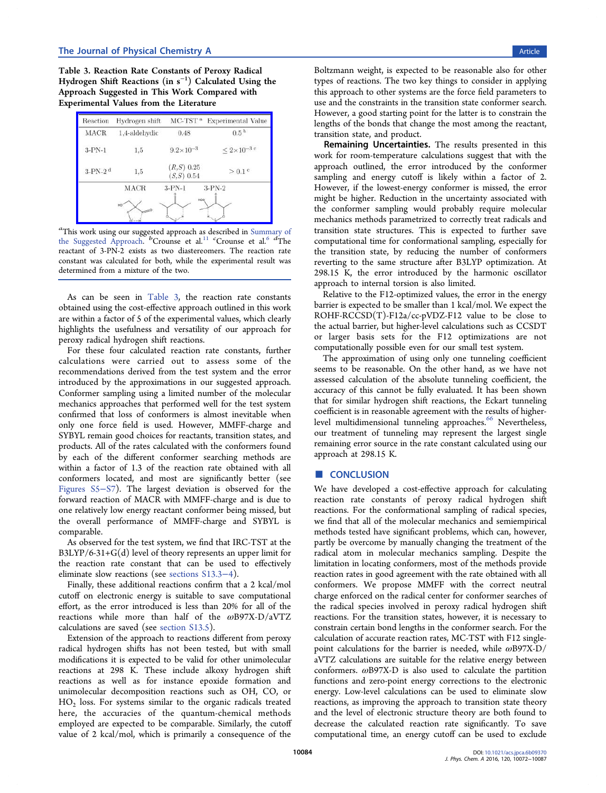Table 3. Reaction Rate Constants of Peroxy Radical Hydrogen Shift Reactions (in s<sup>−</sup><sup>1</sup> ) Calculated Using the Approach Suggested in This Work Compared with Experimental Values from the Literature



a This work using our suggested approach as described in Summary of the Suggested Approach.  ${}^b$ Crounse et al.<sup>11</sup> cCrounse et al.<sup>6</sup> dThe reactant of 3-PN-2 exists as two diastereomers. The reaction rate constant was calculated for both, while the experimental result was determined from a mixture of the two.

As can be seen in Table 3, the reaction rate constants obtained using the cost-effective approach outlined in this work are within a factor of 5 of the experimental values, which clearly highlights the usefulness and versatility of our approach for peroxy radical hydrogen shift reactions.

For these four calculated reaction rate constants, further calculations were carried out to assess some of the recommendations derived from the test system and the error introduced by the approximations in our suggested approach. Conformer sampling using a limited number of the molecular mechanics approaches that performed well for the test system confirmed that loss of conformers is almost inevitable when only one force field is used. However, MMFF-charge and SYBYL remain good choices for reactants, transition states, and products. All of the rates calculated with the conformers found by each of the different conformer searching methods are within a factor of 1.3 of the reaction rate obtained with all conformers located, and most are significantly better (see [Figures S5](http://pubs.acs.org/doi/suppl/10.1021/acs.jpca.6b09370/suppl_file/jp6b09370_si_001.pdf)−S7). The largest deviation is observed for the forward reaction of MACR with MMFF-charge and is due to one relatively low energy reactant conformer being missed, but the overall performance of MMFF-charge and SYBYL is comparable.

As observed for the test system, we find that IRC-TST at the B3LYP/6-31+G(d) level of theory represents an upper limit for the reaction rate constant that can be used to effectively eliminate slow reactions (see [sections S13.3](http://pubs.acs.org/doi/suppl/10.1021/acs.jpca.6b09370/suppl_file/jp6b09370_si_001.pdf)−4).

Finally, these additional reactions confirm that a 2 kcal/mol cutoff on electronic energy is suitable to save computational effort, as the error introduced is less than 20% for all of the reactions while more than half of the  $\omega$ B97X-D/aVTZ calculations are saved (see [section S13.5](http://pubs.acs.org/doi/suppl/10.1021/acs.jpca.6b09370/suppl_file/jp6b09370_si_001.pdf)).

Extension of the approach to reactions different from peroxy radical hydrogen shifts has not been tested, but with small modifications it is expected to be valid for other unimolecular reactions at 298 K. These include alkoxy hydrogen shift reactions as well as for instance epoxide formation and unimolecular decomposition reactions such as OH, CO, or  $HO<sub>2</sub>$  loss. For systems similar to the organic radicals treated here, the accuracies of the quantum-chemical methods employed are expected to be comparable. Similarly, the cutoff value of 2 kcal/mol, which is primarily a consequence of the

Boltzmann weight, is expected to be reasonable also for other types of reactions. The two key things to consider in applying this approach to other systems are the force field parameters to use and the constraints in the transition state conformer search. However, a good starting point for the latter is to constrain the lengths of the bonds that change the most among the reactant, transition state, and product.

Remaining Uncertainties. The results presented in this work for room-temperature calculations suggest that with the approach outlined, the error introduced by the conformer sampling and energy cutoff is likely within a factor of 2. However, if the lowest-energy conformer is missed, the error might be higher. Reduction in the uncertainty associated with the conformer sampling would probably require molecular mechanics methods parametrized to correctly treat radicals and transition state structures. This is expected to further save computational time for conformational sampling, especially for the transition state, by reducing the number of conformers reverting to the same structure after B3LYP optimization. At 298.15 K, the error introduced by the harmonic oscillator approach to internal torsion is also limited.

Relative to the F12-optimized values, the error in the energy barrier is expected to be smaller than 1 kcal/mol. We expect the ROHF-RCCSD(T)-F12a/cc-pVDZ-F12 value to be close to the actual barrier, but higher-level calculations such as CCSDT or larger basis sets for the F12 optimizations are not computationally possible even for our small test system.

The approximation of using only one tunneling coefficient seems to be reasonable. On the other hand, as we have not assessed calculation of the absolute tunneling coefficient, the accuracy of this cannot be fully evaluated. It has been shown that for similar hydrogen shift reactions, the Eckart tunneling coefficient is in reasonable agreement with the results of higherlevel multidimensional tunneling approaches.<sup>66</sup> Nevertheless, our treatment of tunneling may represent the largest single remaining error source in the rate constant calculated using our approach at 298.15 K.

#### ■ CONCLUSION

We have developed a cost-effective approach for calculating reaction rate constants of peroxy radical hydrogen shift reactions. For the conformational sampling of radical species, we find that all of the molecular mechanics and semiempirical methods tested have significant problems, which can, however, partly be overcome by manually changing the treatment of the radical atom in molecular mechanics sampling. Despite the limitation in locating conformers, most of the methods provide reaction rates in good agreement with the rate obtained with all conformers. We propose MMFF with the correct neutral charge enforced on the radical center for conformer searches of the radical species involved in peroxy radical hydrogen shift reactions. For the transition states, however, it is necessary to constrain certain bond lengths in the conformer search. For the calculation of accurate reaction rates, MC-TST with F12 singlepoint calculations for the barrier is needed, while  $\omega$ B97X-D/ aVTZ calculations are suitable for the relative energy between conformers. ωB97X-D is also used to calculate the partition functions and zero-point energy corrections to the electronic energy. Low-level calculations can be used to eliminate slow reactions, as improving the approach to transition state theory and the level of electronic structure theory are both found to decrease the calculated reaction rate significantly. To save computational time, an energy cutoff can be used to exclude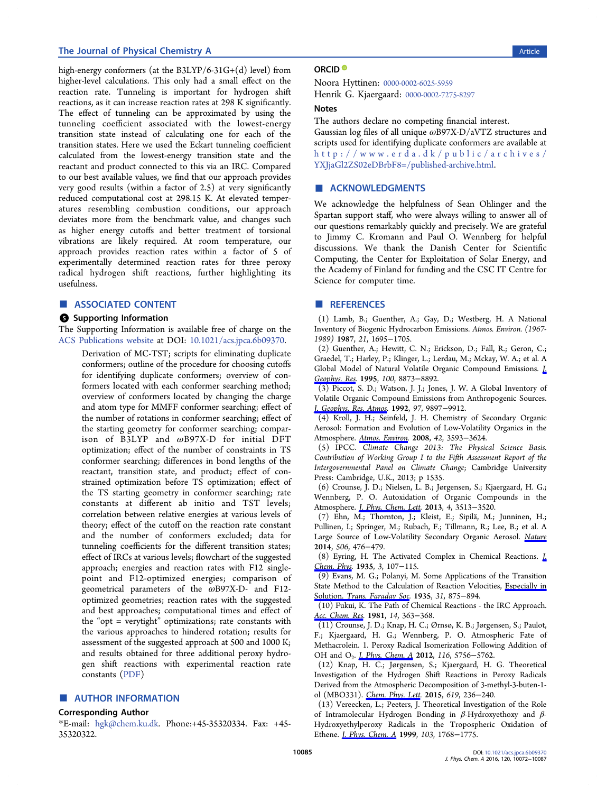#### The Journal of Physical Chemistry A **Article** 2012 12:30 Article 2013 12:30 Article 2013

high-energy conformers (at the B3LYP/6-31G+(d) level) from higher-level calculations. This only had a small effect on the reaction rate. Tunneling is important for hydrogen shift reactions, as it can increase reaction rates at 298 K significantly. The effect of tunneling can be approximated by using the tunneling coefficient associated with the lowest-energy transition state instead of calculating one for each of the transition states. Here we used the Eckart tunneling coefficient calculated from the lowest-energy transition state and the reactant and product connected to this via an IRC. Compared to our best available values, we find that our approach provides very good results (within a factor of 2.5) at very significantly reduced computational cost at 298.15 K. At elevated temperatures resembling combustion conditions, our approach deviates more from the benchmark value, and changes such as higher energy cutoffs and better treatment of torsional vibrations are likely required. At room temperature, our approach provides reaction rates within a factor of 5 of experimentally determined reaction rates for three peroxy radical hydrogen shift reactions, further highlighting its usefulness.

#### ■ ASSOCIATED CONTENT

#### **S** Supporting Information

The Supporting Information is available free of charge on the [ACS Publications website](http://pubs.acs.org) at DOI: [10.1021/acs.jpca.6b09370.](http://pubs.acs.org/doi/abs/10.1021/acs.jpca.6b09370)

Derivation of MC-TST; scripts for eliminating duplicate conformers; outline of the procedure for choosing cutoffs for identifying duplicate conformers; overview of conformers located with each conformer searching method; overview of conformers located by changing the charge and atom type for MMFF conformer searching; effect of the number of rotations in conformer searching; effect of the starting geometry for conformer searching; comparison of B3LYP and ωB97X-D for initial DFT optimization; effect of the number of constraints in TS conformer searching; differences in bond lengths of the reactant, transition state, and product; effect of constrained optimization before TS optimization; effect of the TS starting geometry in conformer searching; rate constants at different ab initio and TST levels; correlation between relative energies at various levels of theory; effect of the cutoff on the reaction rate constant and the number of conformers excluded; data for tunneling coefficients for the different transition states; effect of IRCs at various levels; flowchart of the suggested approach; energies and reaction rates with F12 singlepoint and F12-optimized energies; comparison of geometrical parameters of the ωB97X-D- and F12 optimized geometries; reaction rates with the suggested and best approaches; computational times and effect of the "opt = verytight" optimizations; rate constants with the various approaches to hindered rotation; results for assessment of the suggested approach at 500 and 1000 K; and results obtained for three additional peroxy hydrogen shift reactions with experimental reaction rate constants [\(PDF](http://pubs.acs.org/doi/suppl/10.1021/acs.jpca.6b09370/suppl_file/jp6b09370_si_001.pdf))

#### ■ AUTHOR INFORMATION

#### Corresponding Author

\*E-mail: [hgk@chem.ku.dk.](mailto:hgk@chem.ku.dk) Phone:+45-35320334. Fax: +45- 35320322.

#### ORCID<sup>®</sup>

Noora Hyttinen: [0000-0002-6025-5959](http://orcid.org/0000-0002-6025-5959) Henrik G. Kjaergaard: [0000-0002-7275-8297](http://orcid.org/0000-0002-7275-8297)

#### Notes

The authors declare no competing financial interest.

Gaussian log files of all unique ωB97X-D/aVTZ structures and scripts used for identifying duplicate conformers are available at [http://www.erda.dk/public/archives/](http://www.erda.dk/public/archives/YXJjaGl2ZS02eDBrbF8=/published-archive.html) [YXJjaGl2ZS02eDBrbF8=/published-archive.html](http://www.erda.dk/public/archives/YXJjaGl2ZS02eDBrbF8=/published-archive.html).

#### ■ ACKNOWLEDGMENTS

We acknowledge the helpfulness of Sean Ohlinger and the Spartan support staff, who were always willing to answer all of our questions remarkably quickly and precisely. We are grateful to Jimmy C. Kromann and Paul O. Wennberg for helpful discussions. We thank the Danish Center for Scientific Computing, the Center for Exploitation of Solar Energy, and the Academy of Finland for funding and the CSC IT Centre for Science for computer time.

#### ■ REFERENCES

(1) Lamb, B.; Guenther, A.; Gay, D.; Westberg, H. A National Inventory of Biogenic Hydrocarbon Emissions. Atmos. Environ. (1967- 1989) 1987, 21, 1695−1705.

(2) Guenther, A.; Hewitt, C. N.; Erickson, D.; Fall, R.; Geron, C.; Graedel, T.; Harley, P.; Klinger, L.; Lerdau, M.; Mckay, W. A.; et al. A Global Model of Natural Volatile Organic Compound Emissions. [J.](http://pubs.acs.org/action/showLinks?crossref=10.1029%2F94JD02950&coi=1%3ACAS%3A528%3ADyaK2MXmvFKrsb0%253D) [Geophys. Res](http://pubs.acs.org/action/showLinks?crossref=10.1029%2F94JD02950&coi=1%3ACAS%3A528%3ADyaK2MXmvFKrsb0%253D). 1995, 100, 8873−8892.

(3) Piccot, S. D.; Watson, J. J.; Jones, J. W. A Global Inventory of Volatile Organic Compound Emissions from Anthropogenic Sources. [J. Geophys. Res. Atmos.](http://pubs.acs.org/action/showLinks?crossref=10.1029%2F92JD00682&coi=1%3ACAS%3A528%3ADyaK38XkvFKntrY%253D) 1992, 97, 9897−9912.

(4) Kroll, J. H.; Seinfeld, J. H. Chemistry of Secondary Organic Aerosol: Formation and Evolution of Low-Volatility Organics in the Atmosphere. [Atmos. Environ](http://pubs.acs.org/action/showLinks?crossref=10.1016%2Fj.atmosenv.2008.01.003&coi=1%3ACAS%3A528%3ADC%252BD1cXls1Kksbs%253D). 2008, 42, 3593−3624.

(5) IPCC. Climate Change 2013: The Physical Science Basis. Contribution of Working Group I to the Fifth Assessment Report of the Intergovernmental Panel on Climate Change; Cambridge University Press: Cambridge, U.K., 2013; p 1535.

(6) Crounse, J. D.; Nielsen, L. B.; Jørgensen, S.; Kjaergaard, H. G.; Wennberg, P. O. Autoxidation of Organic Compounds in the Atmosphere. *[J. Phys. Chem. Lett](http://pubs.acs.org/action/showLinks?system=10.1021%2Fjz4019207&coi=1%3ACAS%3A528%3ADC%252BC3sXhsFelsbrF).* 2013, 4, 3513-3520.

(7) Ehn, M.; Thornton, J.; Kleist, E.; Sipila, M.; Junninen, H.; ̈ Pullinen, I.; Springer, M.; Rubach, F.; Tillmann, R.; Lee, B.; et al. A Large Source of Low-Volatility Secondary Organic Aerosol. [Nature](http://pubs.acs.org/action/showLinks?pmid=24572423&crossref=10.1038%2Fnature13032&coi=1%3ACAS%3A528%3ADC%252BC2cXjt12ms7g%253D) 2014, 506, 476−479.

(8) Eyring, H. The Activated Complex in Chemical Reactions. [J.](http://pubs.acs.org/action/showLinks?crossref=10.1063%2F1.1749604&coi=1%3ACAS%3A528%3ADyaA2MXhs1Sksw%253D%253D) [Chem. Phys](http://pubs.acs.org/action/showLinks?crossref=10.1063%2F1.1749604&coi=1%3ACAS%3A528%3ADyaA2MXhs1Sksw%253D%253D). 1935, 3, 107-115.

(9) Evans, M. G.; Polanyi, M. Some Applications of the Transition State Method to the Calculation of Reaction Velocities, [Especially in](http://pubs.acs.org/action/showLinks?crossref=10.1039%2Ftf9353100875&coi=1%3ACAS%3A528%3ADyaA2MXltVSmsw%253D%253D) Solution. [Trans. Faraday Soc.](http://pubs.acs.org/action/showLinks?crossref=10.1039%2Ftf9353100875&coi=1%3ACAS%3A528%3ADyaA2MXltVSmsw%253D%253D) 1935, 31, 875−894.

(10) Fukui, K. The Path of Chemical Reactions - the IRC Approach. [Acc. Chem. Res.](http://pubs.acs.org/action/showLinks?system=10.1021%2Far00072a001&coi=1%3ACAS%3A528%3ADyaL3MXmtFSgtL0%253D) 1981, 14, 363-368.

(11) Crounse, J. D.; Knap, H. C.; Ørnsø, K. B.; Jørgensen, S.; Paulot, F.; Kjaergaard, H. G.; Wennberg, P. O. Atmospheric Fate of Methacrolein. 1. Peroxy Radical Isomerization Following Addition of OH and O<sub>2</sub>. *[J. Phys. Chem. A](http://pubs.acs.org/action/showLinks?system=10.1021%2Fjp211560u&coi=1%3ACAS%3A528%3ADC%252BC38Xks1Chsb4%253D)* 2012, 116, 5756–5762.

(12) Knap, H. C.; Jørgensen, S.; Kjaergaard, H. G. Theoretical Investigation of the Hydrogen Shift Reactions in Peroxy Radicals Derived from the Atmospheric Decomposition of 3-methyl-3-buten-1 ol (MBO331). [Chem. Phys. Lett](http://pubs.acs.org/action/showLinks?crossref=10.1016%2Fj.cplett.2014.11.056&coi=1%3ACAS%3A528%3ADC%252BC2cXitVWrsrjK). 2015, 619, 236−240.

(13) Vereecken, L.; Peeters, J. Theoretical Investigation of the Role of Intramolecular Hydrogen Bonding in β-Hydroxyethoxy and β-Hydroxyethylperoxy Radicals in the Tropospheric Oxidation of Ethene. [J. Phys. Chem. A](http://pubs.acs.org/action/showLinks?system=10.1021%2Fjp9826930&coi=1%3ACAS%3A528%3ADyaK1MXhsVyht7c%253D) 1999, 103, 1768−1775.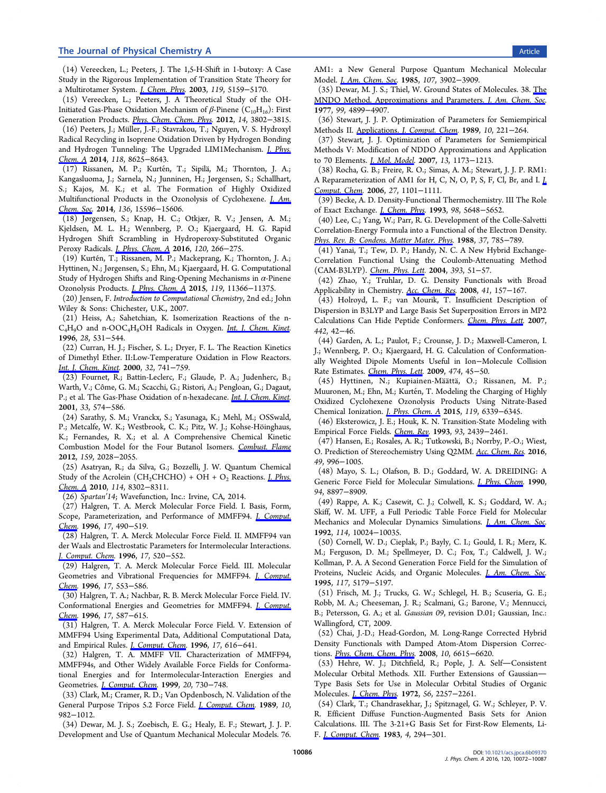(14) Vereecken, L.; Peeters, J. The 1,5-H-Shift in 1-butoxy: A Case Study in the Rigorous Implementation of Transition State Theory for a Multirotamer System. [J. Chem. Phys.](http://pubs.acs.org/action/showLinks?crossref=10.1063%2F1.1597479&coi=1%3ACAS%3A528%3ADC%252BD3sXms1Chtr8%253D) 2003, 119, 5159−5170.

(15) Vereecken, L.; Peeters, J. A Theoretical Study of the OH-Initiated Gas-Phase Oxidation Mechanism of  $\beta$ -Pinene (C<sub>10</sub>H<sub>16</sub>): First Generation Products. [Phys. Chem. Chem. Phys.](http://pubs.acs.org/action/showLinks?pmid=22322794&crossref=10.1039%2Fc2cp23711c&coi=1%3ACAS%3A528%3ADC%252BC38XislOqsLw%253D) 2012, 14, 3802−3815.

(16) Peeters, J.; Müller, J.-F.; Stavrakou, T.; Nguyen, V. S. Hydroxyl Radical Recycling in Isoprene Oxidation Driven by Hydrogen Bonding and Hydrogen Tunneling: The Upgraded LIM1Mechanism. *[J. Phys.](http://pubs.acs.org/action/showLinks?system=10.1021%2Fjp5033146&coi=1%3ACAS%3A528%3ADC%252BC2cXhtFensL%252FO)* [Chem. A](http://pubs.acs.org/action/showLinks?system=10.1021%2Fjp5033146&coi=1%3ACAS%3A528%3ADC%252BC2cXhtFensL%252FO) 2014, 118, 8625−8643.

(17) Rissanen, M. P.; Kurtén, T.; Sipilä, M.; Thornton, J. A.; Kangasluoma, J.; Sarnela, N.; Junninen, H.; Jørgensen, S.; Schallhart, S.; Kajos, M. K.; et al. The Formation of Highly Oxidized Multifunctional Products in the Ozonolysis of Cyclohexene. *[J. Am.](http://pubs.acs.org/action/showLinks?system=10.1021%2Fja507146s&coi=1%3ACAS%3A528%3ADC%252BC2cXhs1Oktb%252FM)* [Chem. Soc](http://pubs.acs.org/action/showLinks?system=10.1021%2Fja507146s&coi=1%3ACAS%3A528%3ADC%252BC2cXhs1Oktb%252FM). 2014, 136, 15596−15606.

(18) Jørgensen, S.; Knap, H. C.; Otkjær, R. V.; Jensen, A. M.; Kjeldsen, M. L. H.; Wennberg, P. O.; Kjaergaard, H. G. Rapid Hydrogen Shift Scrambling in Hydroperoxy-Substituted Organic Peroxy Radicals. [J. Phys. Chem. A](http://pubs.acs.org/action/showLinks?system=10.1021%2Facs.jpca.5b06768&coi=1%3ACAS%3A280%3ADC%252BC28vpvFWqtA%253D%253D) 2016, 120, 266−275.

(19) Kurtén, T.; Rissanen, M. P.; Mackeprang, K.; Thornton, J. A.; Hyttinen, N.; Jørgensen, S.; Ehn, M.; Kjaergaard, H. G. Computational Study of Hydrogen Shifts and Ring-Opening Mechanisms in  $\alpha$ -Pinene Ozonolysis Products. [J. Phys. Chem. A](http://pubs.acs.org/action/showLinks?system=10.1021%2Facs.jpca.5b08948) 2015, 119, 11366−11375.

(20) Jensen, F. Introduction to Computational Chemistry, 2nd ed.; John Wiley & Sons: Chichester, U.K., 2007.

(21) Heiss, A.; Sahetchian, K. Isomerization Reactions of the n-C<sub>4</sub>H<sub>9</sub>O and n-OOC<sub>4</sub>H<sub>8</sub>OH Radicals in Oxygen. *[Int. J. Chem. Kinet.](http://pubs.acs.org/action/showLinks?crossref=10.1002%2F%28SICI%291097-4601%281996%2928%3A7%3C531%3A%3AAID-KIN5%3E3.0.CO%3B2-W&coi=1%3ACAS%3A528%3ADyaK28XjvVaitb0%253D)* 1996, 28, 531−544.

(22) Curran, H. J.; Fischer, S. L.; Dryer, F. L. The Reaction Kinetics of Dimethyl Ether. II:Low-Temperature Oxidation in Flow Reactors. [Int. J. Chem. Kinet.](http://pubs.acs.org/action/showLinks?crossref=10.1002%2F1097-4601%282000%2932%3A12%3C741%3A%3AAID-KIN2%3E3.0.CO%3B2-9&coi=1%3ACAS%3A528%3ADC%252BD3cXnsFOqtL4%253D) 2000, 32, 741−759.

(23) Fournet, R.; Battin-Leclerc, F.; Glaude, P. A.; Judenherc, B.; Warth, V.; Côme, G. M.; Scacchi, G.; Ristori, A.; Pengloan, G.; Dagaut, P.; et al. The Gas-Phase Oxidation of n-hexadecane. *Int. J. Chem. Kinet*. 2001, 33, 574−586.

(24) Sarathy, S. M.; Vranckx, S.; Yasunaga, K.; Mehl, M.; OSSwald, P.; Metcalfe, W. K.; Westbrook, C. K.; Pitz, W. J.; Kohse-Höinghaus, K.; Fernandes, R. X.; et al. A Comprehensive Chemical Kinetic Combustion Model for the Four Butanol Isomers. [Combust. Flame](http://pubs.acs.org/action/showLinks?crossref=10.1016%2Fj.combustflame.2011.12.017&coi=1%3ACAS%3A528%3ADC%252BC38XitFyjtrY%253D) 2012, 159, 2028−2055.

(25) Asatryan, R.; da Silva, G.; Bozzelli, J. W. Quantum Chemical Study of the Acrolein (CH<sub>2</sub>CHCHO) + OH + O<sub>2</sub> Reactions. *[J. Phys.](http://pubs.acs.org/action/showLinks?system=10.1021%2Fjp104828a&coi=1%3ACAS%3A528%3ADC%252BC3cXpsVKrsbc%253D)* [Chem. A](http://pubs.acs.org/action/showLinks?system=10.1021%2Fjp104828a&coi=1%3ACAS%3A528%3ADC%252BC3cXpsVKrsbc%253D) 2010, 114, 8302−8311.

(26) Spartan'14; Wavefunction, Inc.: Irvine, CA, 2014.

(27) Halgren, T. A. Merck Molecular Force Field. I. Basis, Form, Scope, Parameterization, and Performance of MMFF94. *[J. Comput.](http://pubs.acs.org/action/showLinks?crossref=10.1002%2F%28SICI%291096-987X%28199604%2917%3A5%2F6%3C490%3A%3AAID-JCC1%3E3.0.CO%3B2-P&coi=1%3ACAS%3A528%3ADyaK28XhvVGmsbk%253D)* [Chem.](http://pubs.acs.org/action/showLinks?crossref=10.1002%2F%28SICI%291096-987X%28199604%2917%3A5%2F6%3C490%3A%3AAID-JCC1%3E3.0.CO%3B2-P&coi=1%3ACAS%3A528%3ADyaK28XhvVGmsbk%253D) 1996, 17, 490-519.

(28) Halgren, T. A. Merck Molecular Force Field. II. MMFF94 van der Waals and Electrostatic Parameters for Intermolecular Interactions. [J. Comput. Chem.](http://pubs.acs.org/action/showLinks?crossref=10.1002%2F%28SICI%291096-987X%28199604%2917%3A5%2F6%3C520%3A%3AAID-JCC2%3E3.0.CO%3B2-W&coi=1%3ACAS%3A528%3ADyaK28XhvVGmsbY%253D) 1996, 17, 520−552.

(29) Halgren, T. A. Merck Molecular Force Field. III. Molecular Geometries and Vibrational Frequencies for MMFF94. [J. Comput.](http://pubs.acs.org/action/showLinks?crossref=10.1002%2F%28SICI%291096-987X%28199604%2917%3A5%2F6%3C553%3A%3AAID-JCC3%3E3.0.CO%3B2-T&coi=1%3ACAS%3A528%3ADyaK28XhvVGmsbc%253D) [Chem.](http://pubs.acs.org/action/showLinks?crossref=10.1002%2F%28SICI%291096-987X%28199604%2917%3A5%2F6%3C553%3A%3AAID-JCC3%3E3.0.CO%3B2-T&coi=1%3ACAS%3A528%3ADyaK28XhvVGmsbc%253D) 1996, 17, 553−586.

(30) Halgren, T. A.; Nachbar, R. B. Merck Molecular Force Field. IV. Conformational Energies and Geometries for MMFF94. *[J. Comput.](http://pubs.acs.org/action/showLinks?crossref=10.1002%2F%28SICI%291096-987X%28199604%2917%3A6%3C587%3A%3AAID-JCC4%3E3.0.CO%3B2-P&coi=1%3ACAS%3A528%3ADyaK28XhvVGmtr4%253D)* [Chem.](http://pubs.acs.org/action/showLinks?crossref=10.1002%2F%28SICI%291096-987X%28199604%2917%3A6%3C587%3A%3AAID-JCC4%3E3.0.CO%3B2-P&coi=1%3ACAS%3A528%3ADyaK28XhvVGmtr4%253D) 1996, 17, 587-615.

(31) Halgren, T. A. Merck Molecular Force Field. V. Extension of MMFF94 Using Experimental Data, Additional Computational Data, and Empirical Rules. [J. Comput. Chem.](http://pubs.acs.org/action/showLinks?crossref=10.1002%2F%28SICI%291096-987X%28199604%2917%3A5%2F6%3C616%3A%3AAID-JCC5%3E3.0.CO%3B2-X&coi=1%3ACAS%3A528%3ADyaK28XhvVGmtr8%253D) 1996, 17, 616−641.

(32) Halgren, T. A. MMFF VII. Characterization of MMFF94, MMFF94s, and Other Widely Available Force Fields for Conformational Energies and for Intermolecular-Interaction Energies and Geometries. [J. Comput. Chem.](http://pubs.acs.org/action/showLinks?crossref=10.1002%2F%28SICI%291096-987X%28199905%2920%3A7%3C730%3A%3AAID-JCC8%3E3.0.CO%3B2-T&coi=1%3ACAS%3A528%3ADyaK1MXjtVSls7s%253D) 1999, 20, 730−748.

(33) Clark, M.; Cramer, R. D.; Van Opdenbosch, N. Validation of the General Purpose Tripos 5.2 Force Field. *[J. Comput. Chem.](http://pubs.acs.org/action/showLinks?crossref=10.1002%2Fjcc.540100804&coi=1%3ACAS%3A528%3ADyaK3cXhtlygsbk%253D)* 1989, 10, 982−1012.

(34) Dewar, M. J. S.; Zoebisch, E. G.; Healy, E. F.; Stewart, J. J. P. Development and Use of Quantum Mechanical Molecular Models. 76. AM1: a New General Purpose Quantum Mechanical Molecular Model. [J. Am. Chem. Soc.](http://pubs.acs.org/action/showLinks?system=10.1021%2Fja00299a024&coi=1%3ACAS%3A528%3ADyaL2MXktFWlsLk%253D) 1985, 107, 3902−3909.

(35) Dewar, M. J. S.; Thiel, W. Ground States of Molecules. 38. [The](http://pubs.acs.org/action/showLinks?system=10.1021%2Fja00457a004&coi=1%3ACAS%3A528%3ADyaE2sXkslelt7g%253D) [MNDO Method. Approximations and Parameters.](http://pubs.acs.org/action/showLinks?system=10.1021%2Fja00457a004&coi=1%3ACAS%3A528%3ADyaE2sXkslelt7g%253D) J. Am. Chem. Soc. 1977, 99, 4899−4907.

(36) Stewart, J. J. P. Optimization of Parameters for Semiempirical Methods II. Applications. [J. Comput. Chem](http://pubs.acs.org/action/showLinks?crossref=10.1002%2Fjcc.540100209&coi=1%3ACAS%3A528%3ADyaL1MXkt1ylu7o%253D). 1989, 10, 221−264.

(37) Stewart, J. J. Optimization of Parameters for Semiempirical Methods V: Modification of NDDO Approximations and Application to 70 Elements. [J. Mol. Model.](http://pubs.acs.org/action/showLinks?pmid=17828561&crossref=10.1007%2Fs00894-007-0233-4&coi=1%3ACAS%3A528%3ADC%252BD2sXhtlequr7N) 2007, 13, 1173−1213.

(38) Rocha, G. B.; Freire, R. O.; Simas, A. M.; Stewart, J. J. P. RM1: A Reparameterization of AM1 for H, C, N, O, P, S, F, Cl, Br, and I. [J.](http://pubs.acs.org/action/showLinks?pmid=16691568&crossref=10.1002%2Fjcc.20425&coi=1%3ACAS%3A528%3ADC%252BD28XlvVegsro%253D) [Comput. Chem](http://pubs.acs.org/action/showLinks?pmid=16691568&crossref=10.1002%2Fjcc.20425&coi=1%3ACAS%3A528%3ADC%252BD28XlvVegsro%253D). 2006, 27, 1101−1111.

(39) Becke, A. D. Density-Functional Thermochemistry. III The Role of Exact Exchange. [J. Chem. Phys](http://pubs.acs.org/action/showLinks?crossref=10.1063%2F1.464913&coi=1%3ACAS%3A528%3ADyaK3sXisVWgtrw%253D). 1993, 98, 5648−5652.

(40) Lee, C.; Yang, W.; Parr, R. G. Development of the Colle-Salvetti Correlation-Energy Formula into a Functional of the Electron Density. [Phys. Rev. B: Condens. Matter Mater. Phys](http://pubs.acs.org/action/showLinks?pmid=9944570&crossref=10.1103%2FPhysRevB.37.785&coi=1%3ACAS%3A528%3ADyaL1cXktFWrtbw%253D). 1988, 37, 785−789.

(41) Yanai, T.; Tew, D. P.; Handy, N. C. A New Hybrid Exchange-Correlation Functional Using the Coulomb-Attenuating Method (CAM-B3LYP). [Chem. Phys. Lett](http://pubs.acs.org/action/showLinks?crossref=10.1016%2Fj.cplett.2004.06.011&coi=1%3ACAS%3A528%3ADC%252BD2cXlsFKgtbs%253D). 2004, 393, 51−57.

(42) Zhao, Y.; Truhlar, D. G. Density Functionals with Broad Applicability in Chemistry. [Acc. Chem. Res](http://pubs.acs.org/action/showLinks?system=10.1021%2Far700111a&coi=1%3ACAS%3A528%3ADC%252BD1cXksV2iug%253D%253D). 2008, 41, 157−167.

(43) Holroyd, L. F.; van Mourik, T. Insufficient Description of Dispersion in B3LYP and Large Basis Set Superposition Errors in MP2 Calculations Can Hide Peptide Conformers. [Chem. Phys. Lett](http://pubs.acs.org/action/showLinks?crossref=10.1016%2Fj.cplett.2007.05.072&coi=1%3ACAS%3A528%3ADC%252BD2sXmvVGjsb8%253D). 2007, 442, 42−46.

(44) Garden, A. L.; Paulot, F.; Crounse, J. D.; Maxwell-Cameron, I. J.; Wennberg, P. O.; Kjaergaard, H. G. Calculation of Conformationally Weighted Dipole Moments Useful in Ion−Molecule Collision Rate Estimates. [Chem. Phys. Lett](http://pubs.acs.org/action/showLinks?crossref=10.1016%2Fj.cplett.2009.04.038&coi=1%3ACAS%3A528%3ADC%252BD1MXmtVSrsLs%253D). 2009, 474, 45−50.

(45) Hyttinen, N.; Kupiainen-Mä ättä, O.; Rissanen, M. P.; Muuronen, M.; Ehn, M.; Kurtén, T. Modeling the Charging of Highly Oxidized Cyclohexene Ozonolysis Products Using Nitrate-Based Chemical Ionization. [J. Phys. Chem. A](http://pubs.acs.org/action/showLinks?system=10.1021%2Facs.jpca.5b01818&coi=1%3ACAS%3A528%3ADC%252BC2MXptF2mtLw%253D) 2015, 119, 6339−6345.

(46) Eksterowicz, J. E.; Houk, K. N. Transition-State Modeling with Empirical Force Fields. [Chem. Rev.](http://pubs.acs.org/action/showLinks?system=10.1021%2Fcr00023a006&coi=1%3ACAS%3A528%3ADyaK3sXmt1GgsL8%253D) 1993, 93, 2439−2461.

(47) Hansen, E.; Rosales, A. R.; Tutkowski, B.; Norrby, P.-O.; Wiest, O. Prediction of Stereochemistry Using Q2MM. [Acc. Chem. Res](http://pubs.acs.org/action/showLinks?system=10.1021%2Facs.accounts.6b00037&coi=1%3ACAS%3A528%3ADC%252BC28XlslCksbg%253D). 2016, 49, 996−1005.

(48) Mayo, S. L.; Olafson, B. D.; Goddard, W. A. DREIDING: A Generic Force Field for Molecular Simulations. *[J. Phys. Chem](http://pubs.acs.org/action/showLinks?system=10.1021%2Fj100389a010&coi=1%3ACAS%3A528%3ADyaK3cXmtlyhtL0%253D).* 1990, 94, 8897−8909.

(49) Rappe, A. K.; Casewit, C. J.; Colwell, K. S.; Goddard, W. A.; Skiff, W. M. UFF, a Full Periodic Table Force Field for Molecular Mechanics and Molecular Dynamics Simulations. *[J. Am. Chem. Soc.](http://pubs.acs.org/action/showLinks?system=10.1021%2Fja00051a040&coi=1%3ACAS%3A528%3ADyaK38Xmtl2qur8%253D)* 1992, 114, 10024−10035.

(50) Cornell, W. D.; Cieplak, P.; Bayly, C. I.; Gould, I. R.; Merz, K. M.; Ferguson, D. M.; Spellmeyer, D. C.; Fox, T.; Caldwell, J. W.; Kollman, P. A. A Second Generation Force Field for the Simulation of Proteins, Nucleic Acids, and Organic Molecules. *[J. Am. Chem. Soc.](http://pubs.acs.org/action/showLinks?system=10.1021%2Fja00124a002&coi=1%3ACAS%3A528%3ADyaK2MXlsFertrc%253D)* 1995, 117, 5179−5197.

(51) Frisch, M. J.; Trucks, G. W.; Schlegel, H. B.; Scuseria, G. E.; Robb, M. A.; Cheeseman, J. R.; Scalmani, G.; Barone, V.; Mennucci, B.; Petersson, G. A.; et al. Gaussian 09, revision D.01; Gaussian, Inc.: Wallingford, CT, 2009.

(52) Chai, J.-D.; Head-Gordon, M. Long-Range Corrected Hybrid Density Functionals with Damped Atom-Atom Dispersion Corrections. [Phys. Chem. Chem. Phys.](http://pubs.acs.org/action/showLinks?pmid=18989472&crossref=10.1039%2Fb810189b&coi=1%3ACAS%3A528%3ADC%252BD1cXhtlCksbfO) 2008, 10, 6615−6620.

(53) Hehre, W. J.; Ditchfield, R.; Pople, J. A. Self-Consistent Molecular Orbital Methods. XII. Further Extensions of Gaussian Type Basis Sets for Use in Molecular Orbital Studies of Organic Molecules. [J. Chem. Phys.](http://pubs.acs.org/action/showLinks?crossref=10.1063%2F1.1677527&coi=1%3ACAS%3A528%3ADyaE38XptVemsw%253D%253D) 1972, 56, 2257−2261.

(54) Clark, T.; Chandrasekhar, J.; Spitznagel, G. W.; Schleyer, P. V. R. Efficient Diffuse Function-Augmented Basis Sets for Anion Calculations. III. The 3-21+G Basis Set for First-Row Elements, Li-F. [J. Comput. Chem](http://pubs.acs.org/action/showLinks?crossref=10.1002%2Fjcc.540040303&coi=1%3ACAS%3A528%3ADyaL3sXlt1ymsb8%253D). 1983, 4, 294−301.